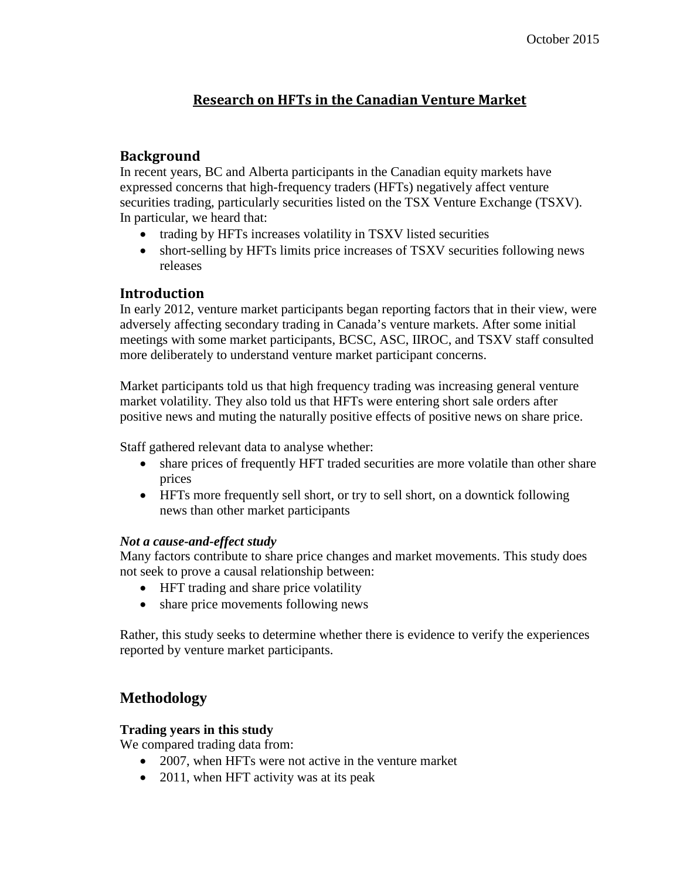## **Research on HFTs in the Canadian Venture Market**

## **Background**

In recent years, BC and Alberta participants in the Canadian equity markets have expressed concerns that high-frequency traders (HFTs) negatively affect venture securities trading, particularly securities listed on the TSX Venture Exchange (TSXV). In particular, we heard that:

- trading by HFTs increases volatility in TSXV listed securities
- short-selling by HFTs limits price increases of TSXV securities following news releases

## **Introduction**

In early 2012, venture market participants began reporting factors that in their view, were adversely affecting secondary trading in Canada's venture markets. After some initial meetings with some market participants, BCSC, ASC, IIROC, and TSXV staff consulted more deliberately to understand venture market participant concerns.

Market participants told us that high frequency trading was increasing general venture market volatility. They also told us that HFTs were entering short sale orders after positive news and muting the naturally positive effects of positive news on share price.

Staff gathered relevant data to analyse whether:

- share prices of frequently HFT traded securities are more volatile than other share prices
- HFTs more frequently sell short, or try to sell short, on a downtick following news than other market participants

## *Not a cause-and-effect study*

Many factors contribute to share price changes and market movements. This study does not seek to prove a causal relationship between:

- HFT trading and share price volatility
- share price movements following news

Rather, this study seeks to determine whether there is evidence to verify the experiences reported by venture market participants.

## **Methodology**

## **Trading years in this study**

We compared trading data from:

- 2007, when HFTs were not active in the venture market
- 2011, when HFT activity was at its peak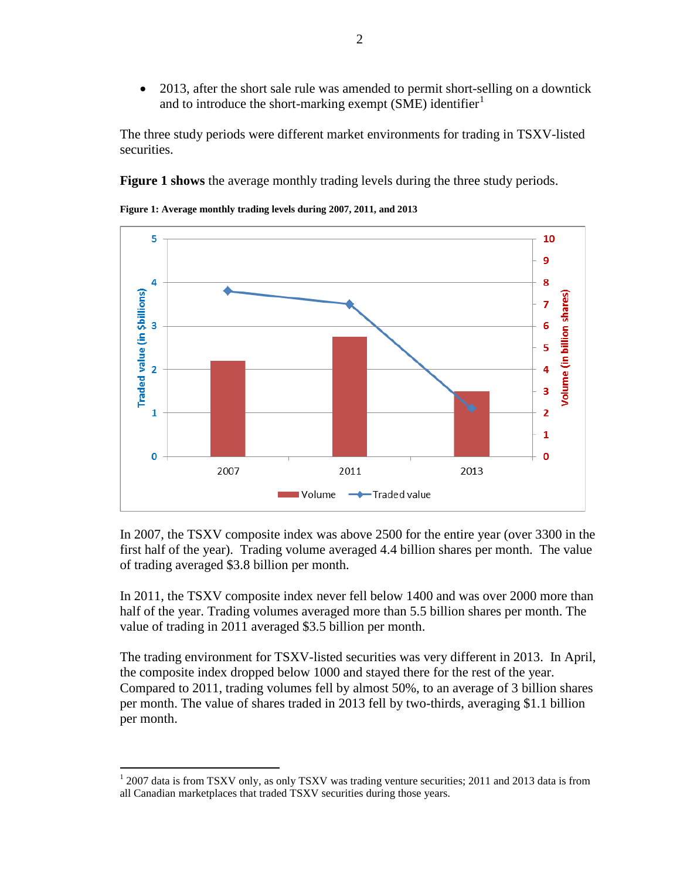• 2013, after the short sale rule was amended to permit short-selling on a downtick and to introduce the short-marking exempt (SME) identifier<sup>[1](#page-1-1)</sup>

The three study periods were different market environments for trading in TSXV-listed securities.

**[Figure 1](#page-1-0) shows** the average monthly trading levels during the three study periods.



<span id="page-1-0"></span>**Figure 1: Average monthly trading levels during 2007, 2011, and 2013**

In 2007, the TSXV composite index was above 2500 for the entire year (over 3300 in the first half of the year). Trading volume averaged 4.4 billion shares per month. The value of trading averaged \$3.8 billion per month.

In 2011, the TSXV composite index never fell below 1400 and was over 2000 more than half of the year. Trading volumes averaged more than 5.5 billion shares per month. The value of trading in 2011 averaged \$3.5 billion per month.

The trading environment for TSXV-listed securities was very different in 2013. In April, the composite index dropped below 1000 and stayed there for the rest of the year. Compared to 2011, trading volumes fell by almost 50%, to an average of 3 billion shares per month. The value of shares traded in 2013 fell by two-thirds, averaging \$1.1 billion per month.

<span id="page-1-1"></span><sup>&</sup>lt;sup>1</sup> 2007 data is from TSXV only, as only TSXV was trading venture securities; 2011 and 2013 data is from all Canadian marketplaces that traded TSXV securities during those years.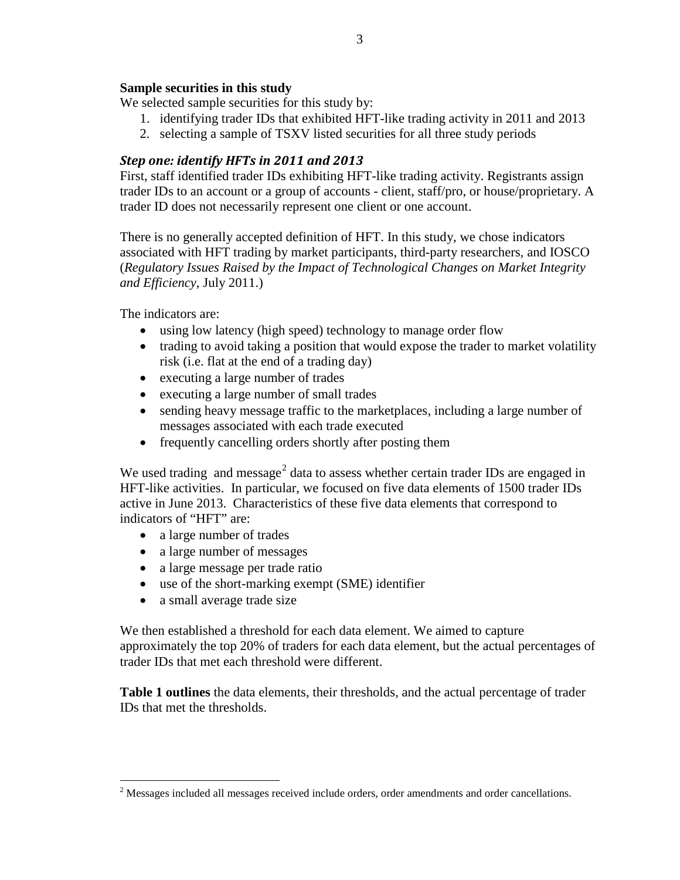## **Sample securities in this study**

We selected sample securities for this study by:

- 1. identifying trader IDs that exhibited HFT-like trading activity in 2011 and 2013
- 2. selecting a sample of TSXV listed securities for all three study periods

## *Step one: identify HFTs in 2011 and 2013*

First, staff identified trader IDs exhibiting HFT-like trading activity. Registrants assign trader IDs to an account or a group of accounts - client, staff/pro, or house/proprietary. A trader ID does not necessarily represent one client or one account.

There is no generally accepted definition of HFT. In this study, we chose indicators associated with HFT trading by market participants, third-party researchers, and IOSCO (*Regulatory Issues Raised by the Impact of Technological Changes on Market Integrity and Efficiency*, July 2011.)

The indicators are:

- using low latency (high speed) technology to manage order flow
- trading to avoid taking a position that would expose the trader to market volatility risk (i.e. flat at the end of a trading day)
- executing a large number of trades
- executing a large number of small trades
- sending heavy message traffic to the marketplaces, including a large number of messages associated with each trade executed
- frequently cancelling orders shortly after posting them

We used trading and message<sup>[2](#page-2-0)</sup> data to assess whether certain trader IDs are engaged in HFT-like activities. In particular, we focused on five data elements of 1500 trader IDs active in June 2013. Characteristics of these five data elements that correspond to indicators of "HFT" are:

- a large number of trades
- a large number of messages
- a large message per trade ratio
- use of the short-marking exempt (SME) identifier
- a small average trade size

We then established a threshold for each data element. We aimed to capture approximately the top 20% of traders for each data element, but the actual percentages of trader IDs that met each threshold were different.

**[Table 1](#page-3-0) outlines** the data elements, their thresholds, and the actual percentage of trader IDs that met the thresholds.

<span id="page-2-0"></span><sup>&</sup>lt;sup>2</sup> Messages included all messages received include orders, order amendments and order cancellations.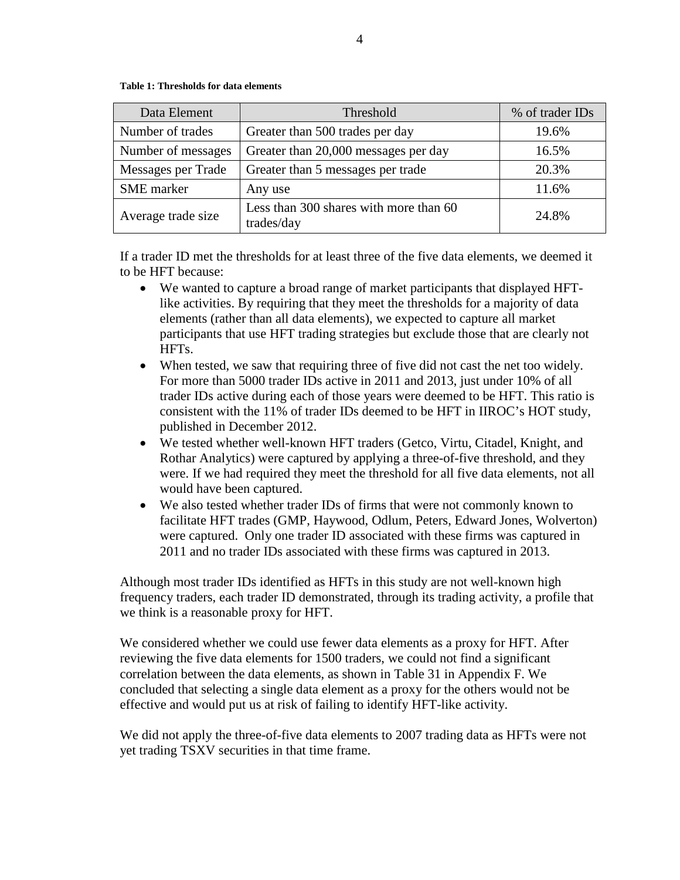#### <span id="page-3-0"></span>**Table 1: Thresholds for data elements**

| Data Element       | Threshold                                            | % of trader IDs |
|--------------------|------------------------------------------------------|-----------------|
| Number of trades   | Greater than 500 trades per day                      | 19.6%           |
| Number of messages | Greater than 20,000 messages per day                 | 16.5%           |
| Messages per Trade | Greater than 5 messages per trade                    | 20.3%           |
| <b>SME</b> marker  | Any use                                              | 11.6%           |
| Average trade size | Less than 300 shares with more than 60<br>trades/day | 24.8%           |

If a trader ID met the thresholds for at least three of the five data elements, we deemed it to be HFT because:

- We wanted to capture a broad range of market participants that displayed HFTlike activities. By requiring that they meet the thresholds for a majority of data elements (rather than all data elements), we expected to capture all market participants that use HFT trading strategies but exclude those that are clearly not HFTs.
- When tested, we saw that requiring three of five did not cast the net too widely. For more than 5000 trader IDs active in 2011 and 2013, just under 10% of all trader IDs active during each of those years were deemed to be HFT. This ratio is consistent with the 11% of trader IDs deemed to be HFT in IIROC's HOT study, published in December 2012.
- We tested whether well-known HFT traders (Getco, Virtu, Citadel, Knight, and Rothar Analytics) were captured by applying a three-of-five threshold, and they were. If we had required they meet the threshold for all five data elements, not all would have been captured.
- We also tested whether trader IDs of firms that were not commonly known to facilitate HFT trades (GMP, Haywood, Odlum, Peters, Edward Jones, Wolverton) were captured. Only one trader ID associated with these firms was captured in 2011 and no trader IDs associated with these firms was captured in 2013.

Although most trader IDs identified as HFTs in this study are not well-known high frequency traders, each trader ID demonstrated, through its trading activity, a profile that we think is a reasonable proxy for HFT.

We considered whether we could use fewer data elements as a proxy for HFT. After reviewing the five data elements for 1500 traders, we could not find a significant correlation between the data elements, as shown in [Table 31](#page-33-0) in [Appendix F.](#page-33-1) We concluded that selecting a single data element as a proxy for the others would not be effective and would put us at risk of failing to identify HFT-like activity.

We did not apply the three-of-five data elements to 2007 trading data as HFTs were not yet trading TSXV securities in that time frame.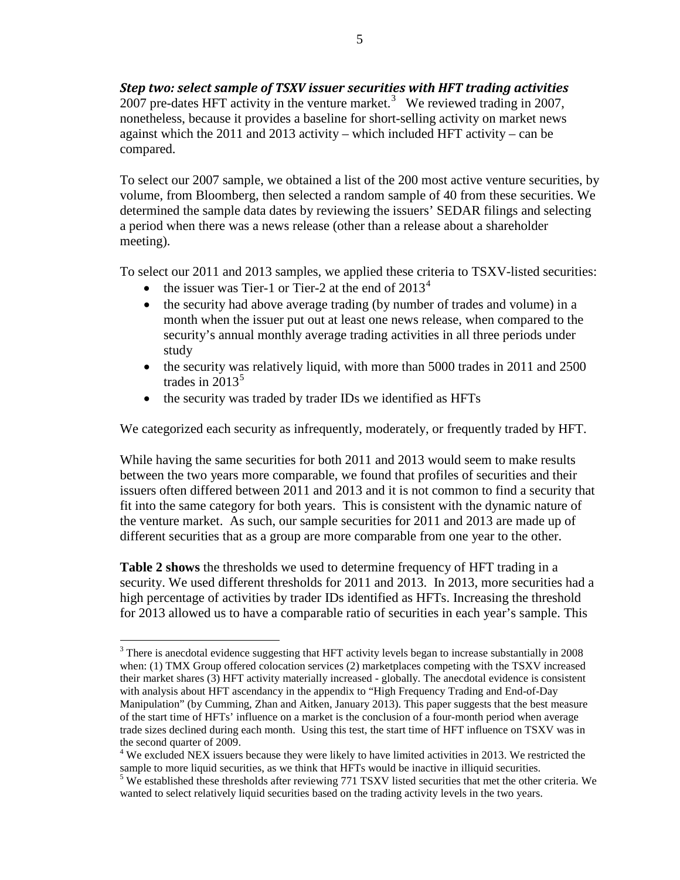*Step two: select sample of TSXV issuer securities with HFT trading activities* 2007 pre-dates HFT activity in the venture market.<sup>[3](#page-4-0)</sup> We reviewed trading in 2007, nonetheless, because it provides a baseline for short-selling activity on market news against which the 2011 and 2013 activity – which included HFT activity – can be compared.

To select our 2007 sample, we obtained a list of the 200 most active venture securities, by volume, from Bloomberg, then selected a random sample of 40 from these securities. We determined the sample data dates by reviewing the issuers' SEDAR filings and selecting a period when there was a news release (other than a release about a shareholder meeting).

To select our 2011 and 2013 samples, we applied these criteria to TSXV-listed securities:

- the issuer was Tier-1 or Tier-2 at the end of  $2013<sup>4</sup>$  $2013<sup>4</sup>$  $2013<sup>4</sup>$
- the security had above average trading (by number of trades and volume) in a month when the issuer put out at least one news release, when compared to the security's annual monthly average trading activities in all three periods under study
- the security was relatively liquid, with more than 5000 trades in 2011 and 2500 trades in  $2013^5$  $2013^5$
- the security was traded by trader IDs we identified as HFTs

We categorized each security as infrequently, moderately, or frequently traded by HFT.

While having the same securities for both 2011 and 2013 would seem to make results between the two years more comparable, we found that profiles of securities and their issuers often differed between 2011 and 2013 and it is not common to find a security that fit into the same category for both years. This is consistent with the dynamic nature of the venture market. As such, our sample securities for 2011 and 2013 are made up of different securities that as a group are more comparable from one year to the other.

**[Table 2](#page-5-0) shows** the thresholds we used to determine frequency of HFT trading in a security. We used different thresholds for 2011 and 2013. In 2013, more securities had a high percentage of activities by trader IDs identified as HFTs. Increasing the threshold for 2013 allowed us to have a comparable ratio of securities in each year's sample. This

<span id="page-4-0"></span><sup>&</sup>lt;sup>3</sup> There is anecdotal evidence suggesting that HFT activity levels began to increase substantially in 2008 when: (1) TMX Group offered colocation services (2) marketplaces competing with the TSXV increased their market shares (3) HFT activity materially increased - globally. The anecdotal evidence is consistent with analysis about HFT ascendancy in the appendix to "High Frequency Trading and End-of-Day Manipulation" (by Cumming, Zhan and Aitken, January 2013). This paper suggests that the best measure of the start time of HFTs' influence on a market is the conclusion of a four-month period when average trade sizes declined during each month. Using this test, the start time of HFT influence on TSXV was in the second quarter of 2009.

<span id="page-4-1"></span> $4$  We excluded NEX issuers because they were likely to have limited activities in 2013. We restricted the sample to more liquid securities, as we think that HFTs would be inactive in illiquid securities.

<span id="page-4-2"></span><sup>&</sup>lt;sup>5</sup> We established these thresholds after reviewing 771 TSXV listed securities that met the other criteria. We wanted to select relatively liquid securities based on the trading activity levels in the two years.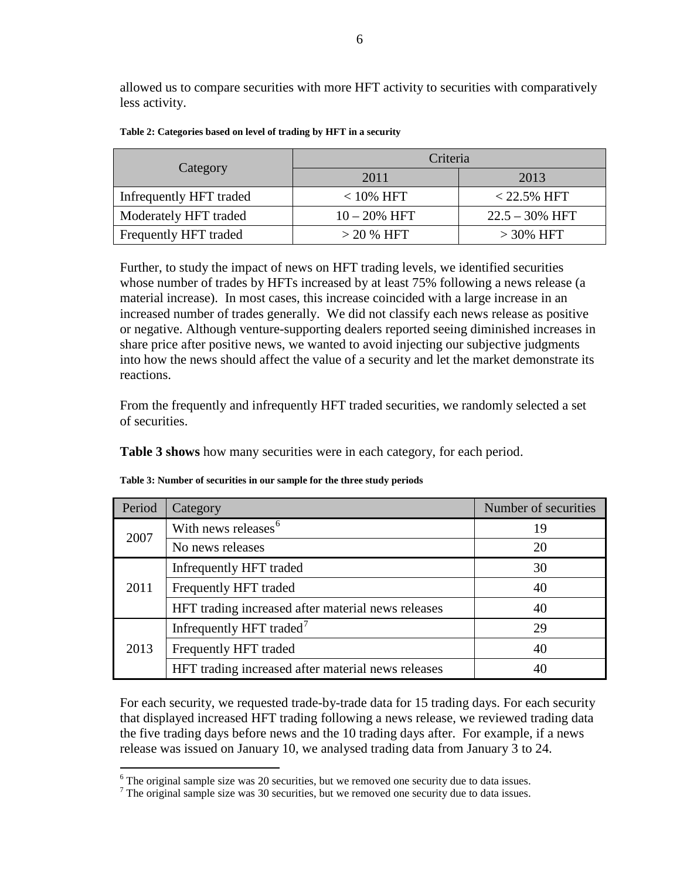allowed us to compare securities with more HFT activity to securities with comparatively less activity.

|                         | Criteria        |                   |  |
|-------------------------|-----------------|-------------------|--|
| Category                | 2011            | 2013              |  |
| Infrequently HFT traded | $< 10\%$ HFT    | $< 22.5\%$ HFT    |  |
| Moderately HFT traded   | $10 - 20\%$ HFT | $22.5 - 30\%$ HFT |  |
| Frequently HFT traded   | $>$ 20 % HFT    | $>30\%$ HFT       |  |

<span id="page-5-0"></span>

Further, to study the impact of news on HFT trading levels, we identified securities whose number of trades by HFTs increased by at least 75% following a news release (a material increase). In most cases, this increase coincided with a large increase in an increased number of trades generally. We did not classify each news release as positive or negative. Although venture-supporting dealers reported seeing diminished increases in share price after positive news, we wanted to avoid injecting our subjective judgments into how the news should affect the value of a security and let the market demonstrate its reactions.

From the frequently and infrequently HFT traded securities, we randomly selected a set of securities.

**[Table 3](#page-5-1) shows** how many securities were in each category, for each period.

| Period | Category                                           | Number of securities |
|--------|----------------------------------------------------|----------------------|
| 2007   | With news releases <sup>6</sup>                    | 19                   |
|        | No news releases                                   | 20                   |
|        | Infrequently HFT traded                            | 30                   |
| 2011   | Frequently HFT traded                              | 40                   |
|        | HFT trading increased after material news releases | 40                   |
|        | Infrequently HFT traded <sup>7</sup>               | 29                   |
| 2013   | Frequently HFT traded                              | 40                   |
|        | HFT trading increased after material news releases | 40                   |

<span id="page-5-1"></span>**Table 3: Number of securities in our sample for the three study periods**

For each security, we requested trade-by-trade data for 15 trading days. For each security that displayed increased HFT trading following a news release, we reviewed trading data the five trading days before news and the 10 trading days after. For example, if a news release was issued on January 10, we analysed trading data from January 3 to 24.

<span id="page-5-2"></span> $6$  The original sample size was 20 securities, but we removed one security due to data issues.

<span id="page-5-3"></span> $7$  The original sample size was 30 securities, but we removed one security due to data issues.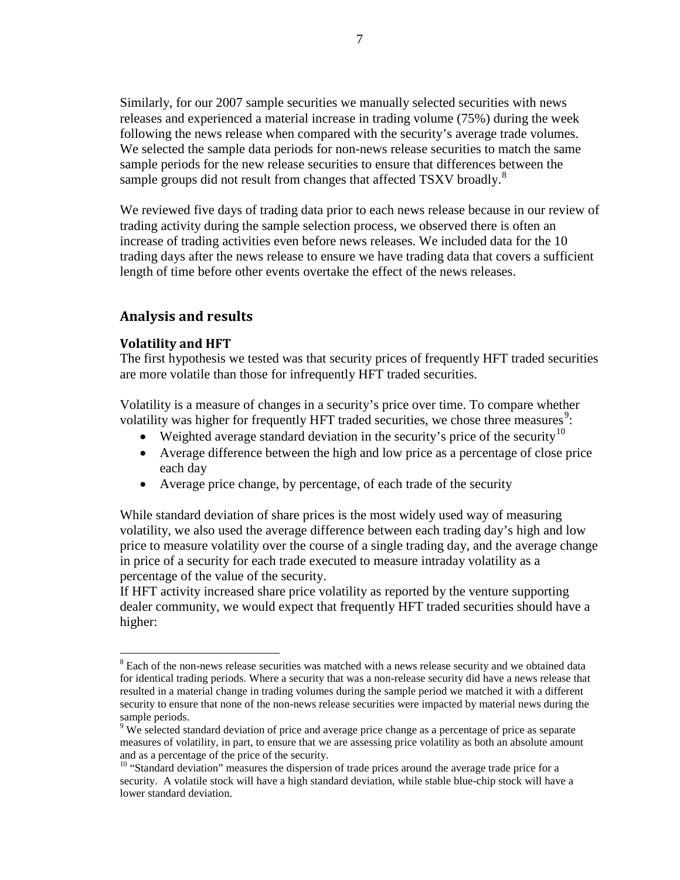Similarly, for our 2007 sample securities we manually selected securities with news releases and experienced a material increase in trading volume (75%) during the week following the news release when compared with the security's average trade volumes. We selected the sample data periods for non-news release securities to match the same sample periods for the new release securities to ensure that differences between the sample groups did not result from changes that affected TSXV broadly.<sup>[8](#page-6-0)</sup>

We reviewed five days of trading data prior to each news release because in our review of trading activity during the sample selection process, we observed there is often an increase of trading activities even before news releases. We included data for the 10 trading days after the news release to ensure we have trading data that covers a sufficient length of time before other events overtake the effect of the news releases.

## **Analysis and results**

## **Volatility and HFT**

The first hypothesis we tested was that security prices of frequently HFT traded securities are more volatile than those for infrequently HFT traded securities.

Volatility is a measure of changes in a security's price over time. To compare whether volatility was higher for frequently HFT traded securities, we chose three measures<sup>[9](#page-6-1)</sup>:

- Weighted average standard deviation in the security's price of the security<sup>[10](#page-6-2)</sup>
- Average difference between the high and low price as a percentage of close price each day
- Average price change, by percentage, of each trade of the security

While standard deviation of share prices is the most widely used way of measuring volatility, we also used the average difference between each trading day's high and low price to measure volatility over the course of a single trading day, and the average change in price of a security for each trade executed to measure intraday volatility as a percentage of the value of the security.

If HFT activity increased share price volatility as reported by the venture supporting dealer community, we would expect that frequently HFT traded securities should have a higher:

<span id="page-6-0"></span><sup>&</sup>lt;sup>8</sup> Each of the non-news release securities was matched with a news release security and we obtained data for identical trading periods. Where a security that was a non-release security did have a news release that resulted in a material change in trading volumes during the sample period we matched it with a different security to ensure that none of the non-news release securities were impacted by material news during the sample periods.

<span id="page-6-1"></span><sup>&</sup>lt;sup>9</sup> We selected standard deviation of price and average price change as a percentage of price as separate measures of volatility, in part, to ensure that we are assessing price volatility as both an absolute amount and as a percentage of the price of the security.<br><sup>10</sup> "Standard deviation" measures the dispersion of trade prices around the average trade price for a

<span id="page-6-2"></span>security. A volatile stock will have a high standard deviation, while stable blue-chip stock will have a lower standard deviation.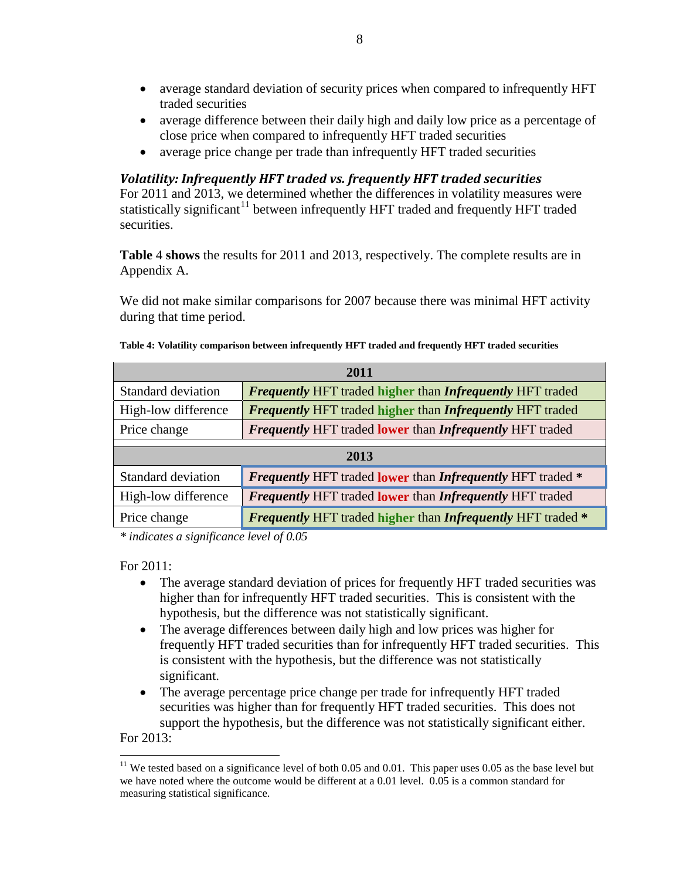- average standard deviation of security prices when compared to infrequently HFT traded securities
- average difference between their daily high and daily low price as a percentage of close price when compared to infrequently HFT traded securities
- average price change per trade than infrequently HFT traded securities

## *Volatility: Infrequently HFT traded vs. frequently HFT traded securities*

For 2011 and 2013, we determined whether the differences in volatility measures were statistically significant<sup>[11](#page-7-1)</sup> [between infrequently HFT traded](#page-7-0) and frequently HFT traded securities.

**[Table](#page-7-0)** 4 **shows** the results for 2011 and 2013, respectively. The complete results are in [Appendix A.](#page-21-0)

<span id="page-7-0"></span>We did not make similar comparisons for 2007 because there was minimal HFT activity during that time period.

| 2011                      |                                                                    |  |  |
|---------------------------|--------------------------------------------------------------------|--|--|
| Standard deviation        | <b>Frequently HFT traded higher than Infrequently HFT traded</b>   |  |  |
| High-low difference       | <b>Frequently HFT traded higher than Infrequently HFT traded</b>   |  |  |
| Price change              | <b>Frequently HFT traded lower than Infrequently HFT traded</b>    |  |  |
|                           |                                                                    |  |  |
| 2013                      |                                                                    |  |  |
| <b>Standard deviation</b> | <b>Frequently HFT traded lower than Infrequently HFT traded *</b>  |  |  |
| High-low difference       | <b>Frequently HFT traded lower than Infrequently HFT traded</b>    |  |  |
| Price change              | <b>Frequently HFT traded higher than Infrequently HFT traded *</b> |  |  |

|  |  | Table 4: Volatility comparison between infrequently HFT traded and frequently HFT traded securities |  |  |  |
|--|--|-----------------------------------------------------------------------------------------------------|--|--|--|
|--|--|-----------------------------------------------------------------------------------------------------|--|--|--|

*\* indicates a significance level of 0.05*

For 2011:

- The average standard deviation of prices for frequently HFT traded securities was higher than for infrequently HFT traded securities. This is consistent with the hypothesis, but the difference was not statistically significant.
- The average differences between daily high and low prices was higher for frequently HFT traded securities than for infrequently HFT traded securities. This is consistent with the hypothesis, but the difference was not statistically significant.
- The average percentage price change per trade for infrequently HFT traded securities was higher than for frequently HFT traded securities. This does not support the hypothesis, but the difference was not statistically significant either.

For 2013:

<span id="page-7-1"></span><sup>&</sup>lt;sup>11</sup> We tested based on a significance level of both 0.05 and 0.01. This paper uses 0.05 as the base level but we have noted where the outcome would be different at a 0.01 level. 0.05 is a common standard for measuring statistical significance.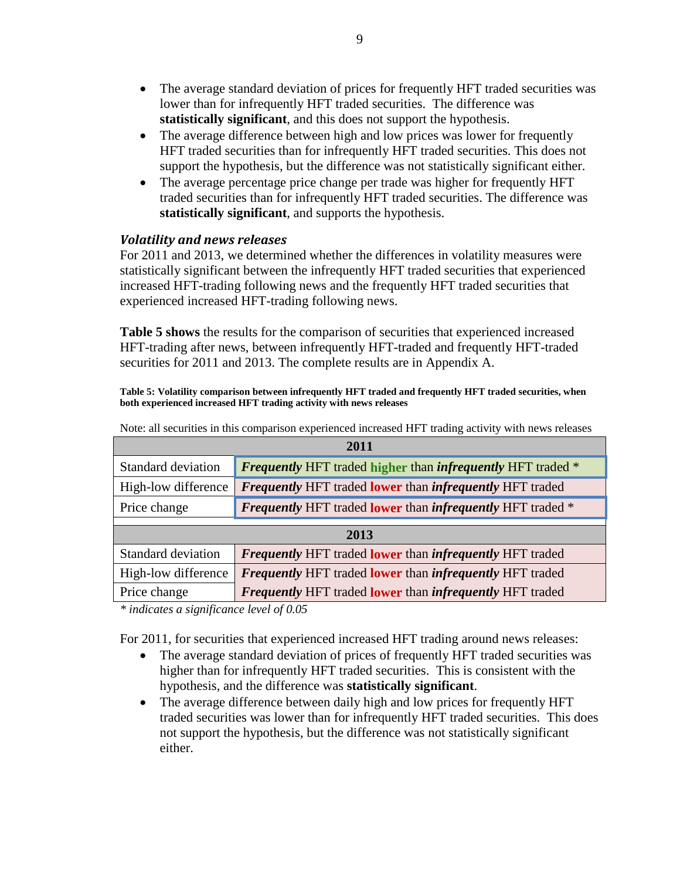- The average standard deviation of prices for frequently HFT traded securities was lower than for infrequently HFT traded securities. The difference was **statistically significant**, and this does not support the hypothesis.
- The average difference between high and low prices was lower for frequently HFT traded securities than for infrequently HFT traded securities. This does not support the hypothesis, but the difference was not statistically significant either.
- The average percentage price change per trade was higher for frequently HFT traded securities than for infrequently HFT traded securities. The difference was **statistically significant**, and supports the hypothesis.

## *Volatility and news releases*

For 2011 and 2013, we determined whether the differences in volatility measures were statistically significant between the infrequently HFT traded securities that experienced increased HFT-trading following news and the frequently HFT traded securities that experienced increased HFT-trading following news.

**[Table 5](#page-8-0) shows** the results for the comparison of securities that experienced increased HFT-trading after news, between infrequently HFT-traded and frequently HFT-traded securities for 2011 and 2013. The complete results are in [Appendix A.](#page-21-0)

<span id="page-8-0"></span>**Table 5: Volatility comparison between infrequently HFT traded and frequently HFT traded securities, when both experienced increased HFT trading activity with news releases**

| 2011                |                                                                           |  |  |
|---------------------|---------------------------------------------------------------------------|--|--|
| Standard deviation  | <b>Frequently HFT</b> traded higher than <i>infrequently</i> HFT traded * |  |  |
| High-low difference | <b>Frequently HFT traded lower than infrequently HFT traded</b>           |  |  |
| Price change        | <b>Frequently HFT traded lower than infrequently HFT traded *</b>         |  |  |
|                     |                                                                           |  |  |
|                     |                                                                           |  |  |
|                     | 2013                                                                      |  |  |
| Standard deviation  | <b>Frequently HFT traded lower than infrequently HFT traded</b>           |  |  |
| High-low difference | <b>Frequently HFT traded lower than infrequently HFT traded</b>           |  |  |

Note: all securities in this comparison experienced increased HFT trading activity with news releases

*\* indicates a significance level of 0.05*

For 2011, for securities that experienced increased HFT trading around news releases:

- The average standard deviation of prices of frequently HFT traded securities was higher than for infrequently HFT traded securities. This is consistent with the hypothesis, and the difference was **statistically significant**.
- The average difference between daily high and low prices for frequently HFT traded securities was lower than for infrequently HFT traded securities. This does not support the hypothesis, but the difference was not statistically significant either.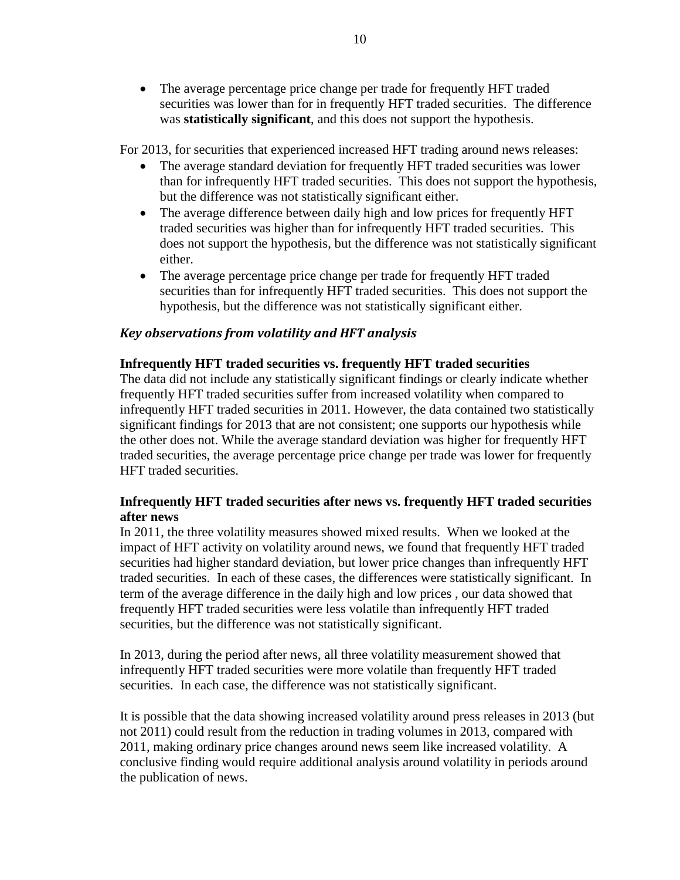• The average percentage price change per trade for frequently HFT traded securities was lower than for in frequently HFT traded securities. The difference was **statistically significant**, and this does not support the hypothesis.

For 2013, for securities that experienced increased HFT trading around news releases:

- The average standard deviation for frequently HFT traded securities was lower than for infrequently HFT traded securities. This does not support the hypothesis, but the difference was not statistically significant either.
- The average difference between daily high and low prices for frequently HFT traded securities was higher than for infrequently HFT traded securities. This does not support the hypothesis, but the difference was not statistically significant either.
- The average percentage price change per trade for frequently HFT traded securities than for infrequently HFT traded securities. This does not support the hypothesis, but the difference was not statistically significant either.

## *Key observations from volatility and HFT analysis*

## **Infrequently HFT traded securities vs. frequently HFT traded securities**

The data did not include any statistically significant findings or clearly indicate whether frequently HFT traded securities suffer from increased volatility when compared to infrequently HFT traded securities in 2011. However, the data contained two statistically significant findings for 2013 that are not consistent; one supports our hypothesis while the other does not. While the average standard deviation was higher for frequently HFT traded securities, the average percentage price change per trade was lower for frequently HFT traded securities.

## **Infrequently HFT traded securities after news vs. frequently HFT traded securities after news**

In 2011, the three volatility measures showed mixed results. When we looked at the impact of HFT activity on volatility around news, we found that frequently HFT traded securities had higher standard deviation, but lower price changes than infrequently HFT traded securities. In each of these cases, the differences were statistically significant. In term of the average difference in the daily high and low prices , our data showed that frequently HFT traded securities were less volatile than infrequently HFT traded securities, but the difference was not statistically significant.

In 2013, during the period after news, all three volatility measurement showed that infrequently HFT traded securities were more volatile than frequently HFT traded securities. In each case, the difference was not statistically significant.

It is possible that the data showing increased volatility around press releases in 2013 (but not 2011) could result from the reduction in trading volumes in 2013, compared with 2011, making ordinary price changes around news seem like increased volatility. A conclusive finding would require additional analysis around volatility in periods around the publication of news.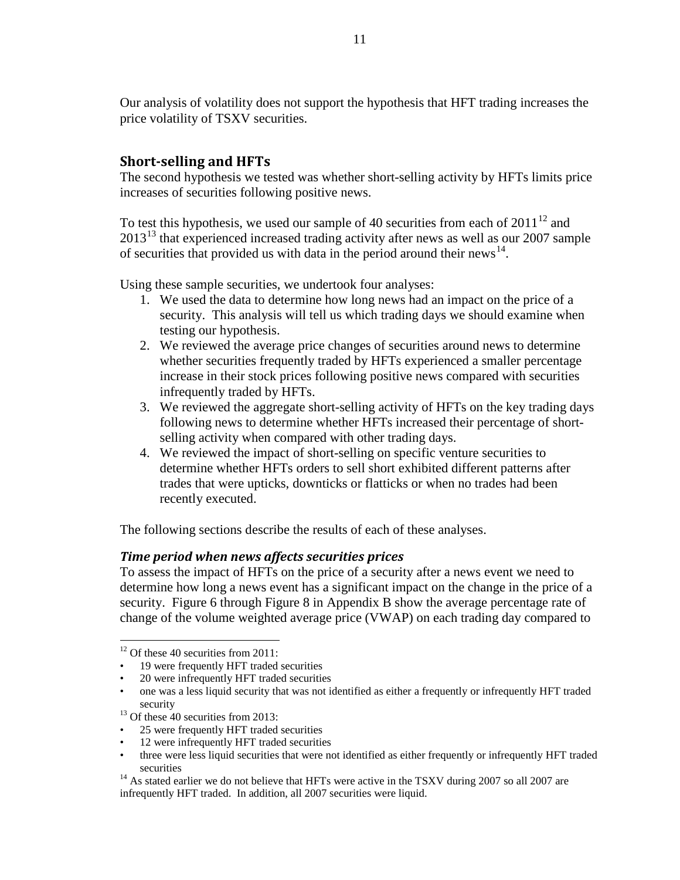Our analysis of volatility does not support the hypothesis that HFT trading increases the price volatility of TSXV securities.

## **Short-selling and HFTs**

The second hypothesis we tested was whether short-selling activity by HFTs limits price increases of securities following positive news.

To test this hypothesis, we used our sample of 40 securities from each of  $2011^{12}$  $2011^{12}$  $2011^{12}$  and 20[13](#page-10-1)<sup>13</sup> that experienced increased trading activity after news as well as our 2007 sample of securities that provided us with data in the period around their news<sup>[14](#page-10-2)</sup>.

Using these sample securities, we undertook four analyses:

- 1. We used the data to determine how long news had an impact on the price of a security. This analysis will tell us which trading days we should examine when testing our hypothesis.
- 2. We reviewed the average price changes of securities around news to determine whether securities frequently traded by HFTs experienced a smaller percentage increase in their stock prices following positive news compared with securities infrequently traded by HFTs.
- 3. We reviewed the aggregate short-selling activity of HFTs on the key trading days following news to determine whether HFTs increased their percentage of shortselling activity when compared with other trading days.
- 4. We reviewed the impact of short-selling on specific venture securities to determine whether HFTs orders to sell short exhibited different patterns after trades that were upticks, downticks or flatticks or when no trades had been recently executed.

The following sections describe the results of each of these analyses.

## *Time period when news affects securities prices*

To assess the impact of HFTs on the price of a security after a news event we need to determine how long a news event has a significant impact on the change in the price of a security. [Figure 6](#page-23-0) through [Figure 8](#page-23-1) in [Appendix B](#page-22-0) show the average percentage rate of change of the volume weighted average price (VWAP) on each trading day compared to

- 25 were frequently HFT traded securities
- 12 were infrequently HFT traded securities

<span id="page-10-0"></span><sup>&</sup>lt;sup>12</sup> Of these 40 securities from 2011:

<sup>• 19</sup> were frequently HFT traded securities

<sup>•</sup> 20 were infrequently HFT traded securities

<sup>•</sup> one was a less liquid security that was not identified as either a frequently or infrequently HFT traded security<br><sup>13</sup> Of these 40 securities from 2013:

<span id="page-10-1"></span>

three were less liquid securities that were not identified as either frequently or infrequently HFT traded

<span id="page-10-2"></span>securities<br><sup>14</sup> As stated earlier we do not believe that HFTs were active in the TSXV during 2007 so all 2007 are infrequently HFT traded. In addition, all 2007 securities were liquid.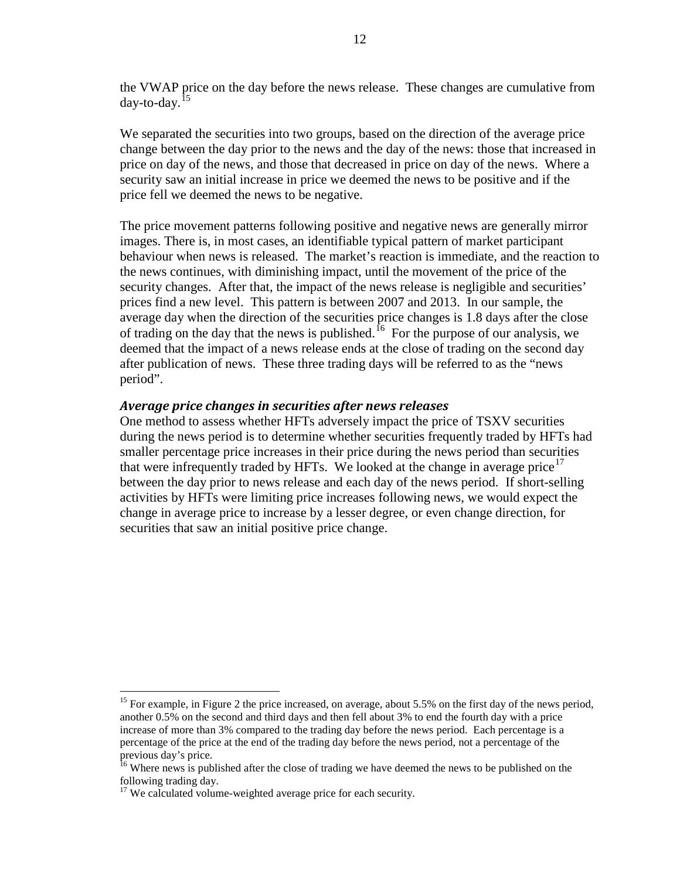the VWAP price on the day before the news release. These changes are cumulative from  $d$ ay-to-day.<sup>[15](#page-11-0)</sup>

We separated the securities into two groups, based on the direction of the average price change between the day prior to the news and the day of the news: those that increased in price on day of the news, and those that decreased in price on day of the news. Where a security saw an initial increase in price we deemed the news to be positive and if the price fell we deemed the news to be negative.

The price movement patterns following positive and negative news are generally mirror images. There is, in most cases, an identifiable typical pattern of market participant behaviour when news is released. The market's reaction is immediate, and the reaction to the news continues, with diminishing impact, until the movement of the price of the security changes. After that, the impact of the news release is negligible and securities' prices find a new level. This pattern is between 2007 and 2013. In our sample, the average day when the direction of the securities price changes is 1.8 days after the close of trading on the day that the news is published.<sup>16</sup> For the purpose of our analysis, we deemed that the impact of a news release ends at the close of trading on the second day after publication of news. These three trading days will be referred to as the "news period".

### *Average price changes in securities after news releases*

One method to assess whether HFTs adversely impact the price of TSXV securities during the news period is to determine whether securities frequently traded by HFTs had smaller percentage price increases in their price during the news period than securities that were infrequently traded by HFTs. We looked at the change in average price<sup>[17](#page-11-2)</sup> between the day prior to news release and each day of the news period. If short-selling activities by HFTs were limiting price increases following news, we would expect the change in average price to increase by a lesser degree, or even change direction, for securities that saw an initial positive price change.

<span id="page-11-0"></span><sup>&</sup>lt;sup>15</sup> For example, in Figure 2 the price increased, on average, about 5.5% on the first day of the news period, another 0.5% on the second and third days and then fell about 3% to end the fourth day with a price increase of more than 3% compared to the trading day before the news period. Each percentage is a percentage of the price at the end of the trading day before the news period, not a percentage of the previous day's price.

<span id="page-11-1"></span><sup>&</sup>lt;sup>16</sup> Where news is published after the close of trading we have deemed the news to be published on the following trading day.

<span id="page-11-2"></span><sup>&</sup>lt;sup>17</sup> We calculated volume-weighted average price for each security.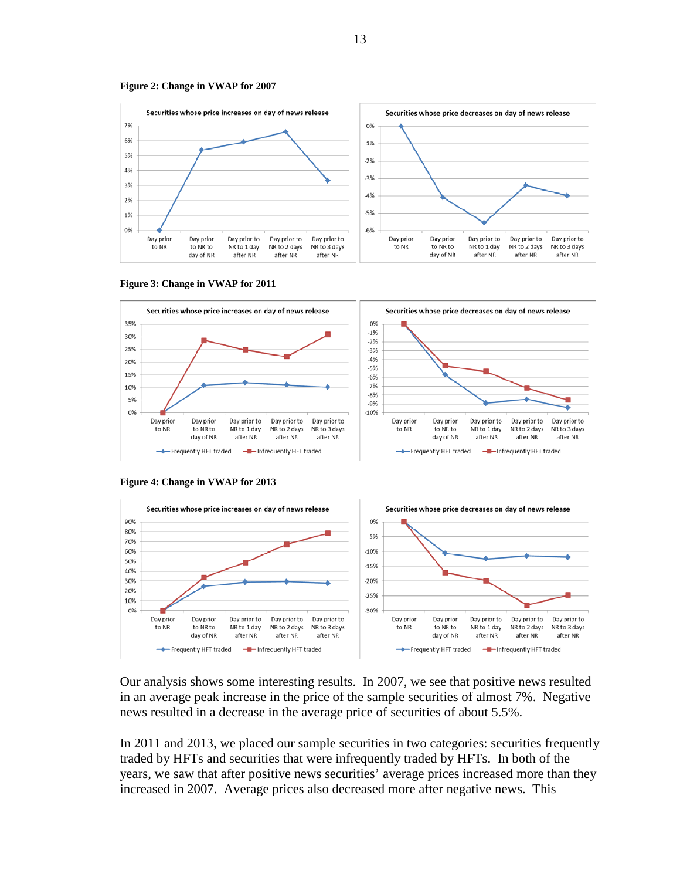







**Figure 4: Change in VWAP for 2013**



Our analysis shows some interesting results. In 2007, we see that positive news resulted in an average peak increase in the price of the sample securities of almost 7%. Negative news resulted in a decrease in the average price of securities of about 5.5%.

In 2011 and 2013, we placed our sample securities in two categories: securities frequently traded by HFTs and securities that were infrequently traded by HFTs. In both of the years, we saw that after positive news securities' average prices increased more than they increased in 2007. Average prices also decreased more after negative news. This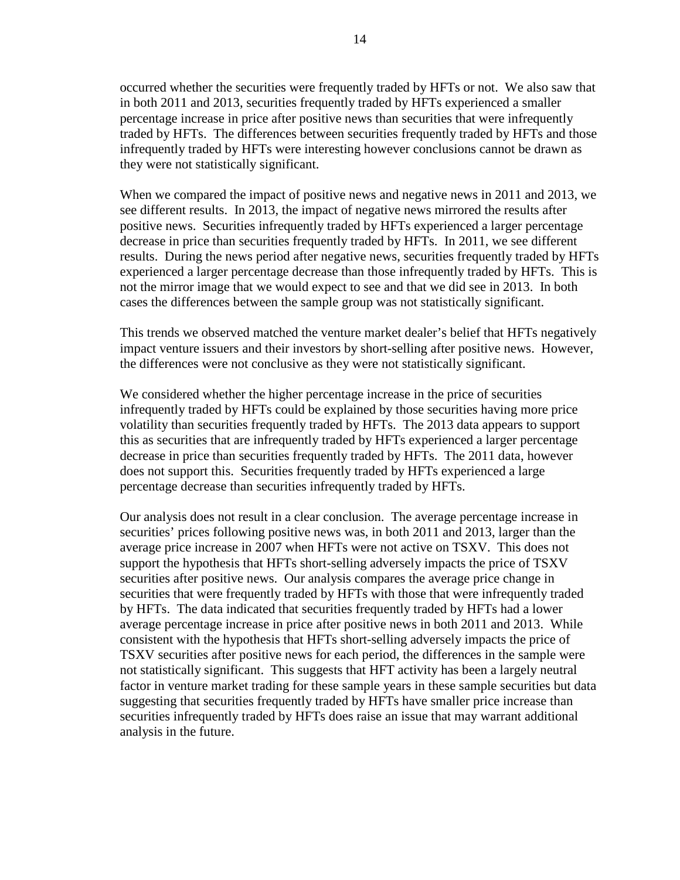occurred whether the securities were frequently traded by HFTs or not. We also saw that in both 2011 and 2013, securities frequently traded by HFTs experienced a smaller percentage increase in price after positive news than securities that were infrequently traded by HFTs. The differences between securities frequently traded by HFTs and those infrequently traded by HFTs were interesting however conclusions cannot be drawn as they were not statistically significant.

When we compared the impact of positive news and negative news in 2011 and 2013, we see different results. In 2013, the impact of negative news mirrored the results after positive news. Securities infrequently traded by HFTs experienced a larger percentage decrease in price than securities frequently traded by HFTs. In 2011, we see different results. During the news period after negative news, securities frequently traded by HFTs experienced a larger percentage decrease than those infrequently traded by HFTs. This is not the mirror image that we would expect to see and that we did see in 2013. In both cases the differences between the sample group was not statistically significant.

This trends we observed matched the venture market dealer's belief that HFTs negatively impact venture issuers and their investors by short-selling after positive news. However, the differences were not conclusive as they were not statistically significant.

We considered whether the higher percentage increase in the price of securities infrequently traded by HFTs could be explained by those securities having more price volatility than securities frequently traded by HFTs. The 2013 data appears to support this as securities that are infrequently traded by HFTs experienced a larger percentage decrease in price than securities frequently traded by HFTs. The 2011 data, however does not support this. Securities frequently traded by HFTs experienced a large percentage decrease than securities infrequently traded by HFTs.

Our analysis does not result in a clear conclusion. The average percentage increase in securities' prices following positive news was, in both 2011 and 2013, larger than the average price increase in 2007 when HFTs were not active on TSXV. This does not support the hypothesis that HFTs short-selling adversely impacts the price of TSXV securities after positive news. Our analysis compares the average price change in securities that were frequently traded by HFTs with those that were infrequently traded by HFTs. The data indicated that securities frequently traded by HFTs had a lower average percentage increase in price after positive news in both 2011 and 2013. While consistent with the hypothesis that HFTs short-selling adversely impacts the price of TSXV securities after positive news for each period, the differences in the sample were not statistically significant. This suggests that HFT activity has been a largely neutral factor in venture market trading for these sample years in these sample securities but data suggesting that securities frequently traded by HFTs have smaller price increase than securities infrequently traded by HFTs does raise an issue that may warrant additional analysis in the future.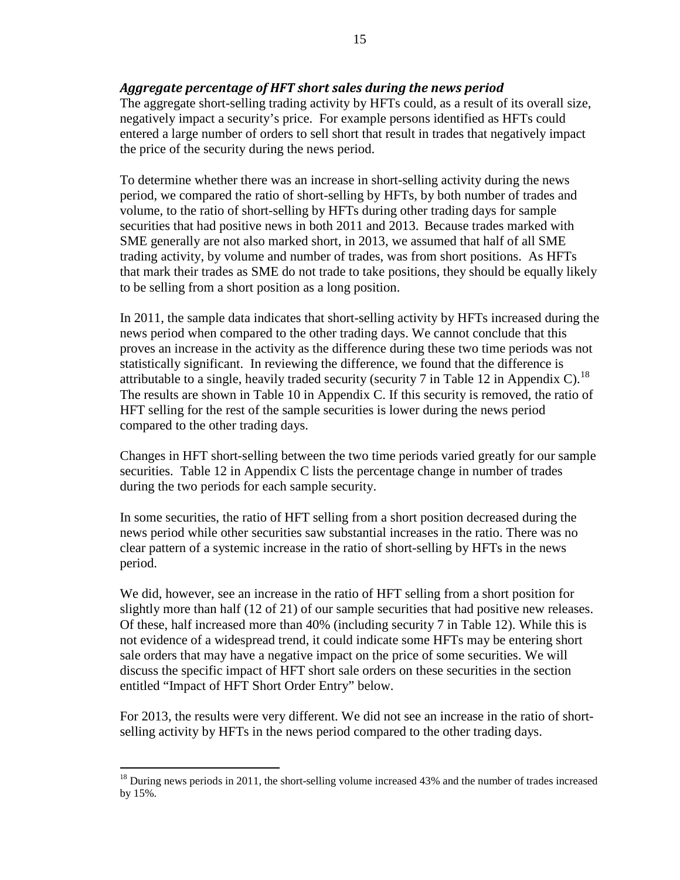## *Aggregate percentage of HFT short sales during the news period*

The aggregate short-selling trading activity by HFTs could, as a result of its overall size, negatively impact a security's price. For example persons identified as HFTs could entered a large number of orders to sell short that result in trades that negatively impact the price of the security during the news period.

To determine whether there was an increase in short-selling activity during the news period, we compared the ratio of short-selling by HFTs, by both number of trades and volume, to the ratio of short-selling by HFTs during other trading days for sample securities that had positive news in both 2011 and 2013. Because trades marked with SME generally are not also marked short, in 2013, we assumed that half of all SME trading activity, by volume and number of trades, was from short positions. As HFTs that mark their trades as SME do not trade to take positions, they should be equally likely to be selling from a short position as a long position.

In 2011, the sample data indicates that short-selling activity by HFTs increased during the news period when compared to the other trading days. We cannot conclude that this proves an increase in the activity as the difference during these two time periods was not statistically significant. In reviewing the difference, we found that the difference is attributable to a single, heavily traded security (security 7 in [Table 12](#page-26-0) in [Appendix C\)](#page-25-0).<sup>[18](#page-14-0)</sup> The results are shown in [Table 10](#page-25-1) in [Appendix C.](#page-25-0) If this security is removed, the ratio of HFT selling for the rest of the sample securities is lower during the news period compared to the other trading days.

Changes in HFT short-selling between the two time periods varied greatly for our sample securities. [Table 12](#page-26-0) in [Appendix C](#page-25-0) lists the percentage change in number of trades during the two periods for each sample security.

In some securities, the ratio of HFT selling from a short position decreased during the news period while other securities saw substantial increases in the ratio. There was no clear pattern of a systemic increase in the ratio of short-selling by HFTs in the news period.

We did, however, see an increase in the ratio of HFT selling from a short position for slightly more than half (12 of 21) of our sample securities that had positive new releases. Of these, half increased more than 40% (including security 7 in [Table 12\)](#page-26-0). While this is not evidence of a widespread trend, it could indicate some HFTs may be entering short sale orders that may have a negative impact on the price of some securities. We will discuss the specific impact of HFT short sale orders on these securities in the section entitled "Impact of HFT Short Order Entry" below.

For 2013, the results were very different. We did not see an increase in the ratio of shortselling activity by HFTs in the news period compared to the other trading days.

<span id="page-14-0"></span> $^{18}$  During news periods in 2011, the short-selling volume increased 43% and the number of trades increased by 15%.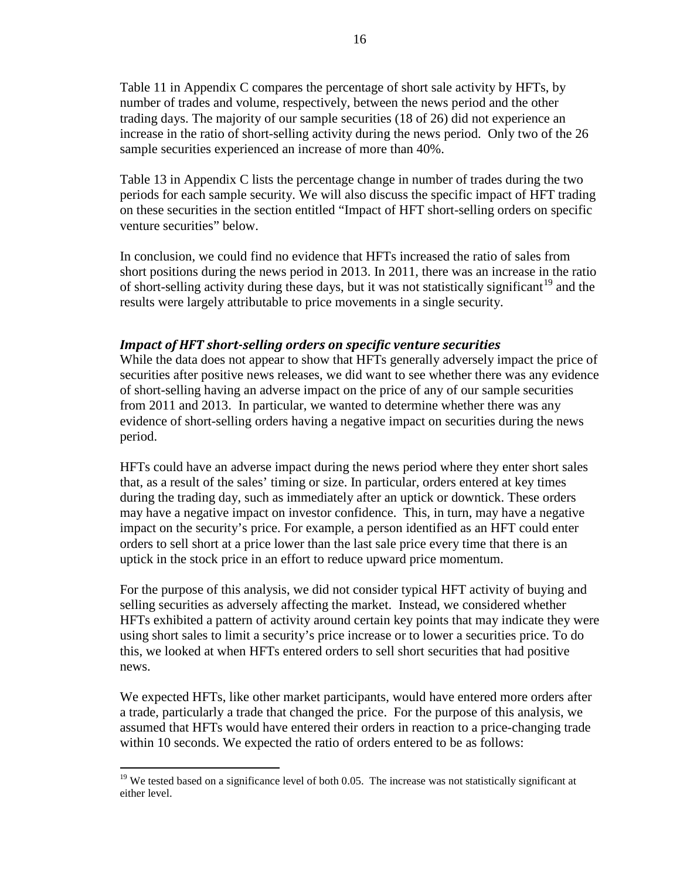[Table 11](#page-25-2) in [Appendix C](#page-25-0) compares the percentage of short sale activity by HFTs, by number of trades and volume, respectively, between the news period and the other trading days. The majority of our sample securities (18 of 26) did not experience an increase in the ratio of short-selling activity during the news period. Only two of the 26 sample securities experienced an increase of more than 40%.

[Table 13](#page-27-0) in [Appendix C](#page-25-0) lists the percentage change in number of trades during the two periods for each sample security. We will also discuss the specific impact of HFT trading on these securities in the section entitled "Impact of HFT short-selling orders on specific venture securities" below.

In conclusion, we could find no evidence that HFTs increased the ratio of sales from short positions during the news period in 2013. In 2011, there was an increase in the ratio of short-selling activity during these days, but it was not statistically significant<sup>[19](#page-15-0)</sup> and the results were largely attributable to price movements in a single security.

## *Impact of HFT short-selling orders on specific venture securities*

While the data does not appear to show that HFTs generally adversely impact the price of securities after positive news releases, we did want to see whether there was any evidence of short-selling having an adverse impact on the price of any of our sample securities from 2011 and 2013. In particular, we wanted to determine whether there was any evidence of short-selling orders having a negative impact on securities during the news period.

HFTs could have an adverse impact during the news period where they enter short sales that, as a result of the sales' timing or size. In particular, orders entered at key times during the trading day, such as immediately after an uptick or downtick. These orders may have a negative impact on investor confidence. This, in turn, may have a negative impact on the security's price. For example, a person identified as an HFT could enter orders to sell short at a price lower than the last sale price every time that there is an uptick in the stock price in an effort to reduce upward price momentum.

For the purpose of this analysis, we did not consider typical HFT activity of buying and selling securities as adversely affecting the market. Instead, we considered whether HFTs exhibited a pattern of activity around certain key points that may indicate they were using short sales to limit a security's price increase or to lower a securities price. To do this, we looked at when HFTs entered orders to sell short securities that had positive news.

We expected HFTs, like other market participants, would have entered more orders after a trade, particularly a trade that changed the price. For the purpose of this analysis, we assumed that HFTs would have entered their orders in reaction to a price-changing trade within 10 seconds. We expected the ratio of orders entered to be as follows:

<span id="page-15-0"></span> $19$  We tested based on a significance level of both 0.05. The increase was not statistically significant at either level.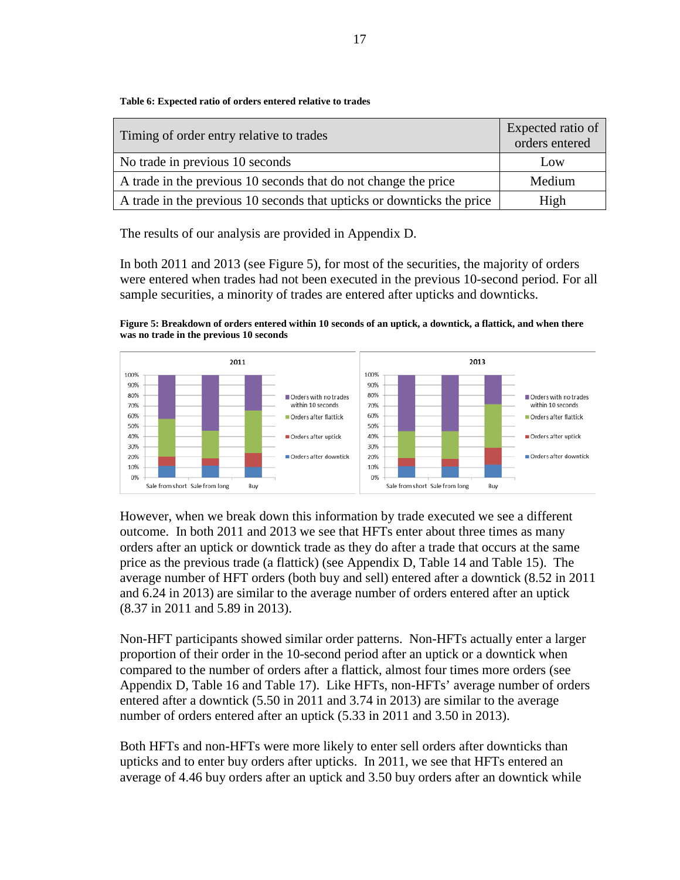**Table 6: Expected ratio of orders entered relative to trades**

| Timing of order entry relative to trades                               | Expected ratio of<br>orders entered |
|------------------------------------------------------------------------|-------------------------------------|
| No trade in previous 10 seconds                                        | Low                                 |
| A trade in the previous 10 seconds that do not change the price        | Medium                              |
| A trade in the previous 10 seconds that upticks or downticks the price | High                                |

The results of our analysis are provided in [Appendix D.](#page-28-0)

In both 2011 and 2013 (see [Figure 5\)](#page-16-0), for most of the securities, the majority of orders were entered when trades had not been executed in the previous 10-second period. For all sample securities, a minority of trades are entered after upticks and downticks.

<span id="page-16-0"></span>**Figure 5: Breakdown of orders entered within 10 seconds of an uptick, a downtick, a flattick, and when there was no trade in the previous 10 seconds**



However, when we break down this information by trade executed we see a different outcome. In both 2011 and 2013 we see that HFTs enter about three times as many orders after an uptick or downtick trade as they do after a trade that occurs at the same price as the previous trade (a flattick) (see [Appendix D,](#page-28-0) [Table 14](#page-28-1) and [Table 15\)](#page-28-2). The average number of HFT orders (both buy and sell) entered after a downtick (8.52 in 2011 and 6.24 in 2013) are similar to the average number of orders entered after an uptick (8.37 in 2011 and 5.89 in 2013).

Non-HFT participants showed similar order patterns. Non-HFTs actually enter a larger proportion of their order in the 10-second period after an uptick or a downtick when compared to the number of orders after a flattick, almost four times more orders (see [Appendix D,](#page-28-0) [Table 16](#page-28-3) and [Table 17\)](#page-28-4). Like HFTs, non-HFTs' average number of orders entered after a downtick (5.50 in 2011 and 3.74 in 2013) are similar to the average number of orders entered after an uptick (5.33 in 2011 and 3.50 in 2013).

Both HFTs and non-HFTs were more likely to enter sell orders after downticks than upticks and to enter buy orders after upticks. In 2011, we see that HFTs entered an average of 4.46 buy orders after an uptick and 3.50 buy orders after an downtick while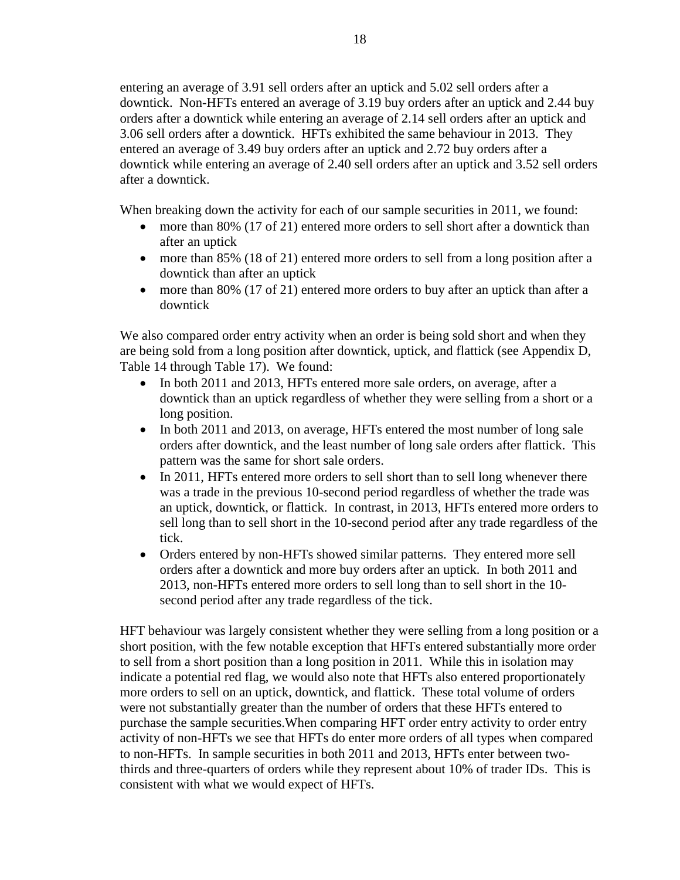entering an average of 3.91 sell orders after an uptick and 5.02 sell orders after a downtick. Non-HFTs entered an average of 3.19 buy orders after an uptick and 2.44 buy orders after a downtick while entering an average of 2.14 sell orders after an uptick and 3.06 sell orders after a downtick. HFTs exhibited the same behaviour in 2013. They entered an average of 3.49 buy orders after an uptick and 2.72 buy orders after a downtick while entering an average of 2.40 sell orders after an uptick and 3.52 sell orders after a downtick.

When breaking down the activity for each of our sample securities in 2011, we found:

- more than 80% (17 of 21) entered more orders to sell short after a downtick than after an uptick
- more than 85% (18 of 21) entered more orders to sell from a long position after a downtick than after an uptick
- more than 80% (17 of 21) entered more orders to buy after an uptick than after a downtick

We also compared order entry activity when an order is being sold short and when they are being sold from a long position after downtick, uptick, and flattick (see [Appendix D,](#page-28-0) [Table 14](#page-28-1) through [Table 17\)](#page-28-4). We found:

- In both 2011 and 2013, HFTs entered more sale orders, on average, after a downtick than an uptick regardless of whether they were selling from a short or a long position.
- In both 2011 and 2013, on average, HFTs entered the most number of long sale orders after downtick, and the least number of long sale orders after flattick. This pattern was the same for short sale orders.
- In 2011, HFTs entered more orders to sell short than to sell long whenever there was a trade in the previous 10-second period regardless of whether the trade was an uptick, downtick, or flattick. In contrast, in 2013, HFTs entered more orders to sell long than to sell short in the 10-second period after any trade regardless of the tick.
- Orders entered by non-HFTs showed similar patterns. They entered more sell orders after a downtick and more buy orders after an uptick. In both 2011 and 2013, non-HFTs entered more orders to sell long than to sell short in the 10 second period after any trade regardless of the tick.

HFT behaviour was largely consistent whether they were selling from a long position or a short position, with the few notable exception that HFTs entered substantially more order to sell from a short position than a long position in 2011. While this in isolation may indicate a potential red flag, we would also note that HFTs also entered proportionately more orders to sell on an uptick, downtick, and flattick. These total volume of orders were not substantially greater than the number of orders that these HFTs entered to purchase the sample securities.When comparing HFT order entry activity to order entry activity of non-HFTs we see that HFTs do enter more orders of all types when compared to non-HFTs. In sample securities in both 2011 and 2013, HFTs enter between twothirds and three-quarters of orders while they represent about 10% of trader IDs. This is consistent with what we would expect of HFTs.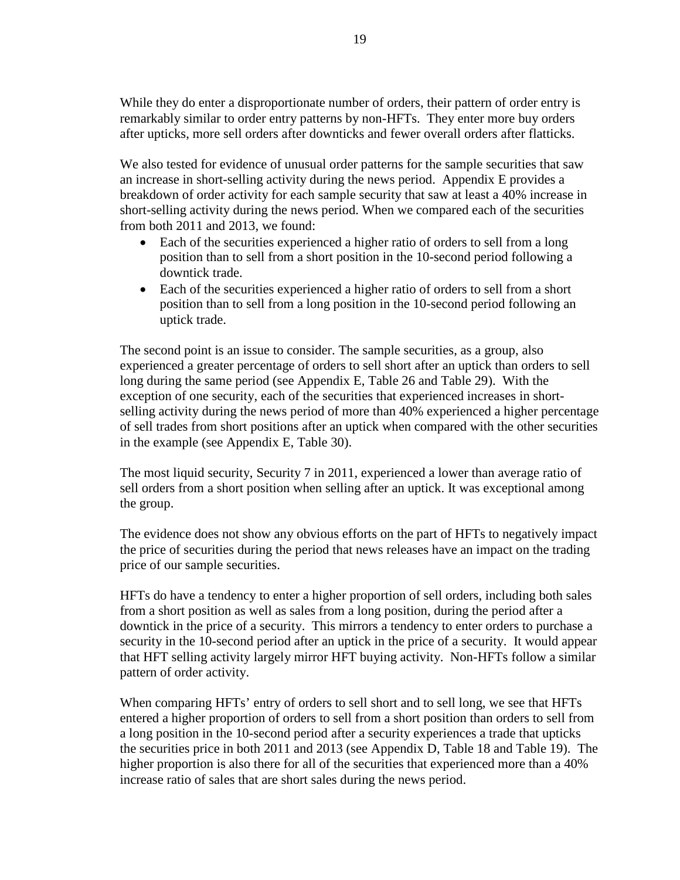While they do enter a disproportionate number of orders, their pattern of order entry is remarkably similar to order entry patterns by non-HFTs. They enter more buy orders after upticks, more sell orders after downticks and fewer overall orders after flatticks.

We also tested for evidence of unusual order patterns for the sample securities that saw an increase in short-selling activity during the news period. [Appendix E](#page-30-0) provides a breakdown of order activity for each sample security that saw at least a 40% increase in short-selling activity during the news period. When we compared each of the securities from both 2011 and 2013, we found:

- Each of the securities experienced a higher ratio of orders to sell from a long position than to sell from a short position in the 10-second period following a downtick trade.
- Each of the securities experienced a higher ratio of orders to sell from a short position than to sell from a long position in the 10-second period following an uptick trade.

The second point is an issue to consider. The sample securities, as a group, also experienced a greater percentage of orders to sell short after an uptick than orders to sell long during the same period (see [Appendix E,](#page-30-0) [Table 26](#page-31-0) and [Table 29\)](#page-31-1). With the exception of one security, each of the securities that experienced increases in shortselling activity during the news period of more than 40% experienced a higher percentage of sell trades from short positions after an uptick when compared with the other securities in the example (see [Appendix E,](#page-30-0) [Table 30\)](#page-32-0).

The most liquid security, Security 7 in 2011, experienced a lower than average ratio of sell orders from a short position when selling after an uptick. It was exceptional among the group.

The evidence does not show any obvious efforts on the part of HFTs to negatively impact the price of securities during the period that news releases have an impact on the trading price of our sample securities.

HFTs do have a tendency to enter a higher proportion of sell orders, including both sales from a short position as well as sales from a long position, during the period after a downtick in the price of a security. This mirrors a tendency to enter orders to purchase a security in the 10-second period after an uptick in the price of a security. It would appear that HFT selling activity largely mirror HFT buying activity. Non-HFTs follow a similar pattern of order activity.

When comparing HFTs' entry of orders to sell short and to sell long, we see that HFTs entered a higher proportion of orders to sell from a short position than orders to sell from a long position in the 10-second period after a security experiences a trade that upticks the securities price in both 2011 and 2013 (see Appendix D, [Table 18](#page-29-0) and [Table 19\)](#page-29-1). The higher proportion is also there for all of the securities that experienced more than a 40% increase ratio of sales that are short sales during the news period.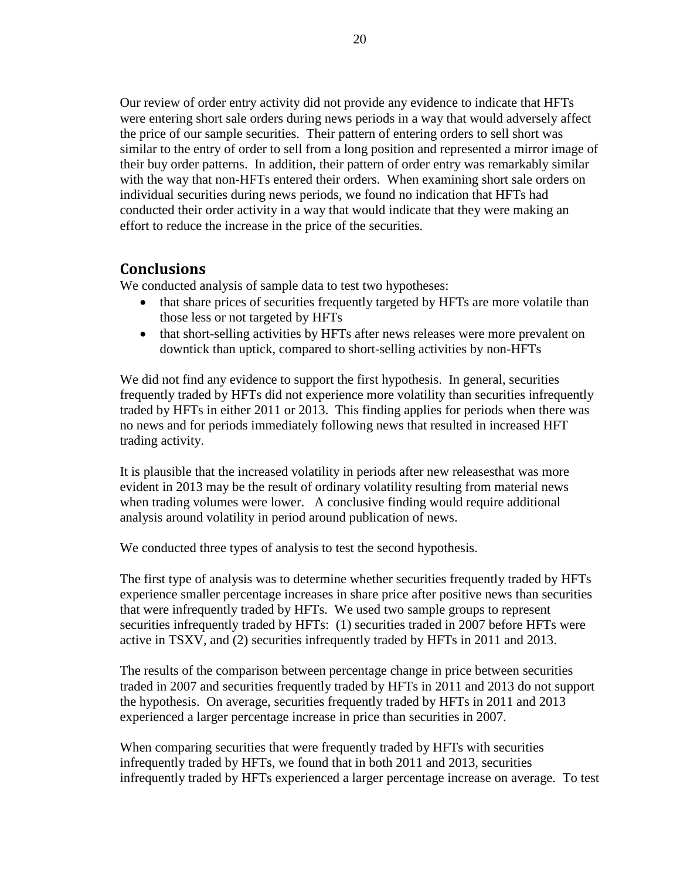Our review of order entry activity did not provide any evidence to indicate that HFTs were entering short sale orders during news periods in a way that would adversely affect the price of our sample securities. Their pattern of entering orders to sell short was similar to the entry of order to sell from a long position and represented a mirror image of their buy order patterns. In addition, their pattern of order entry was remarkably similar with the way that non-HFTs entered their orders. When examining short sale orders on individual securities during news periods, we found no indication that HFTs had conducted their order activity in a way that would indicate that they were making an effort to reduce the increase in the price of the securities.

## **Conclusions**

We conducted analysis of sample data to test two hypotheses:

- that share prices of securities frequently targeted by HFTs are more volatile than those less or not targeted by HFTs
- that short-selling activities by HFTs after news releases were more prevalent on downtick than uptick, compared to short-selling activities by non-HFTs

We did not find any evidence to support the first hypothesis. In general, securities frequently traded by HFTs did not experience more volatility than securities infrequently traded by HFTs in either 2011 or 2013. This finding applies for periods when there was no news and for periods immediately following news that resulted in increased HFT trading activity.

It is plausible that the increased volatility in periods after new releasesthat was more evident in 2013 may be the result of ordinary volatility resulting from material news when trading volumes were lower. A conclusive finding would require additional analysis around volatility in period around publication of news.

We conducted three types of analysis to test the second hypothesis.

The first type of analysis was to determine whether securities frequently traded by HFTs experience smaller percentage increases in share price after positive news than securities that were infrequently traded by HFTs. We used two sample groups to represent securities infrequently traded by HFTs: (1) securities traded in 2007 before HFTs were active in TSXV, and (2) securities infrequently traded by HFTs in 2011 and 2013.

The results of the comparison between percentage change in price between securities traded in 2007 and securities frequently traded by HFTs in 2011 and 2013 do not support the hypothesis. On average, securities frequently traded by HFTs in 2011 and 2013 experienced a larger percentage increase in price than securities in 2007.

When comparing securities that were frequently traded by HFTs with securities infrequently traded by HFTs, we found that in both 2011 and 2013, securities infrequently traded by HFTs experienced a larger percentage increase on average. To test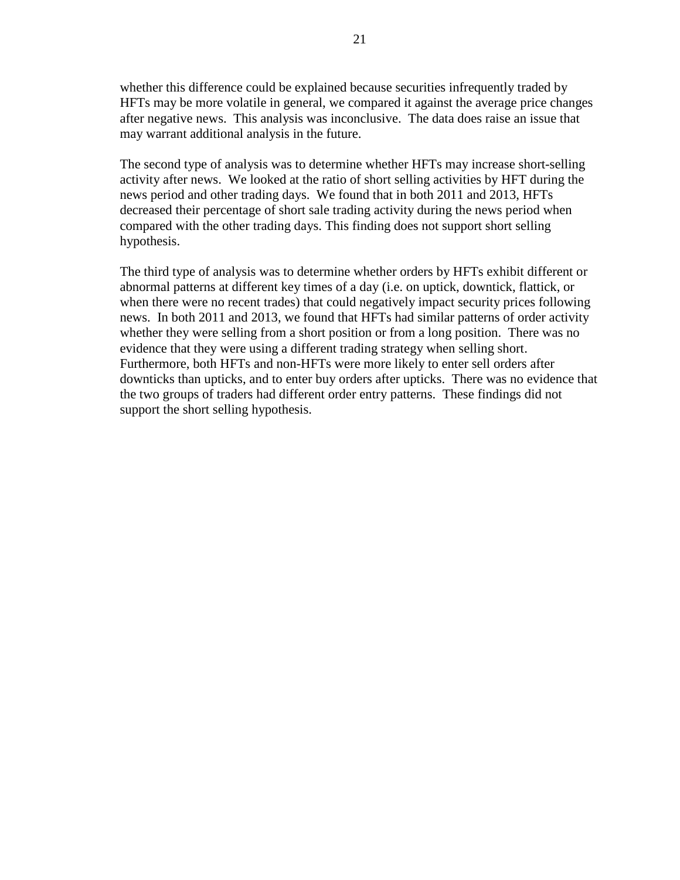whether this difference could be explained because securities infrequently traded by HFTs may be more volatile in general, we compared it against the average price changes after negative news. This analysis was inconclusive. The data does raise an issue that may warrant additional analysis in the future.

The second type of analysis was to determine whether HFTs may increase short-selling activity after news. We looked at the ratio of short selling activities by HFT during the news period and other trading days. We found that in both 2011 and 2013, HFTs decreased their percentage of short sale trading activity during the news period when compared with the other trading days. This finding does not support short selling hypothesis.

The third type of analysis was to determine whether orders by HFTs exhibit different or abnormal patterns at different key times of a day (i.e. on uptick, downtick, flattick, or when there were no recent trades) that could negatively impact security prices following news. In both 2011 and 2013, we found that HFTs had similar patterns of order activity whether they were selling from a short position or from a long position. There was no evidence that they were using a different trading strategy when selling short. Furthermore, both HFTs and non-HFTs were more likely to enter sell orders after downticks than upticks, and to enter buy orders after upticks. There was no evidence that the two groups of traders had different order entry patterns. These findings did not support the short selling hypothesis.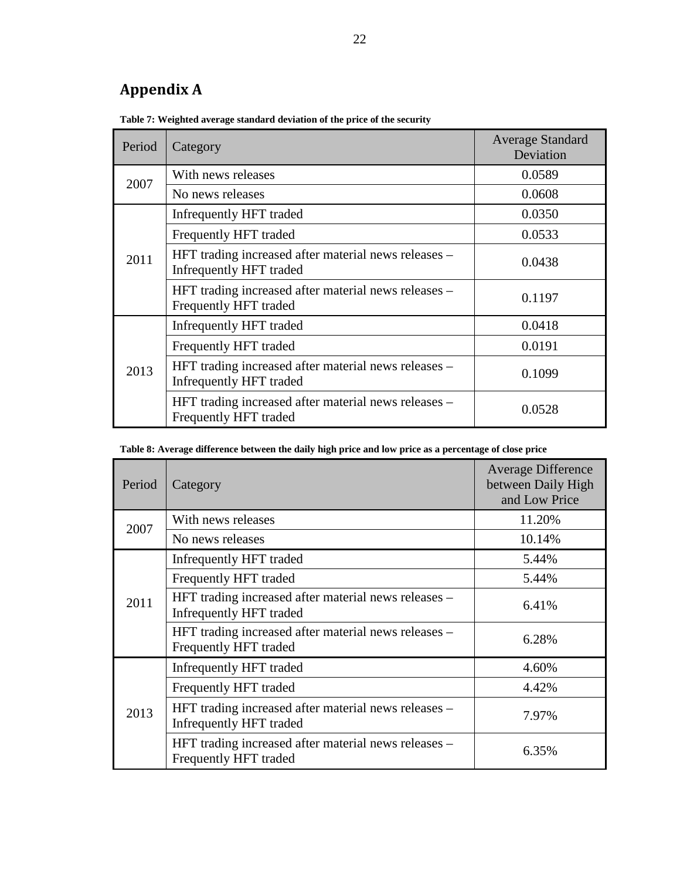# <span id="page-21-0"></span>**Appendix A**

| Period | Category                                                                        | <b>Average Standard</b><br>Deviation |
|--------|---------------------------------------------------------------------------------|--------------------------------------|
| 2007   | With news releases                                                              | 0.0589                               |
|        | No news releases                                                                | 0.0608                               |
|        | Infrequently HFT traded                                                         | 0.0350                               |
|        | Frequently HFT traded                                                           | 0.0533                               |
| 2011   | HFT trading increased after material news releases -<br>Infrequently HFT traded | 0.0438                               |
|        | HFT trading increased after material news releases –<br>Frequently HFT traded   | 0.1197                               |
|        | Infrequently HFT traded                                                         | 0.0418                               |
| 2013   | Frequently HFT traded                                                           | 0.0191                               |
|        | HFT trading increased after material news releases –<br>Infrequently HFT traded | 0.1099                               |
|        | HFT trading increased after material news releases –<br>Frequently HFT traded   | 0.0528                               |

**Table 7: Weighted average standard deviation of the price of the security**

| Table 8: Average difference between the daily high price and low price as a percentage of close price |  |  |
|-------------------------------------------------------------------------------------------------------|--|--|
|                                                                                                       |  |  |
|                                                                                                       |  |  |

| Period | Category                                                                        | <b>Average Difference</b><br>between Daily High<br>and Low Price |
|--------|---------------------------------------------------------------------------------|------------------------------------------------------------------|
| 2007   | With news releases                                                              | 11.20%                                                           |
|        | No news releases                                                                | 10.14%                                                           |
|        | Infrequently HFT traded                                                         | 5.44%                                                            |
|        | Frequently HFT traded                                                           | 5.44%                                                            |
| 2011   | HFT trading increased after material news releases –<br>Infrequently HFT traded | 6.41%                                                            |
|        | HFT trading increased after material news releases -<br>Frequently HFT traded   | 6.28%                                                            |
|        | Infrequently HFT traded                                                         | 4.60%                                                            |
| 2013   | Frequently HFT traded                                                           | 4.42%                                                            |
|        | HFT trading increased after material news releases –<br>Infrequently HFT traded | 7.97%                                                            |
|        | HFT trading increased after material news releases –<br>Frequently HFT traded   | 6.35%                                                            |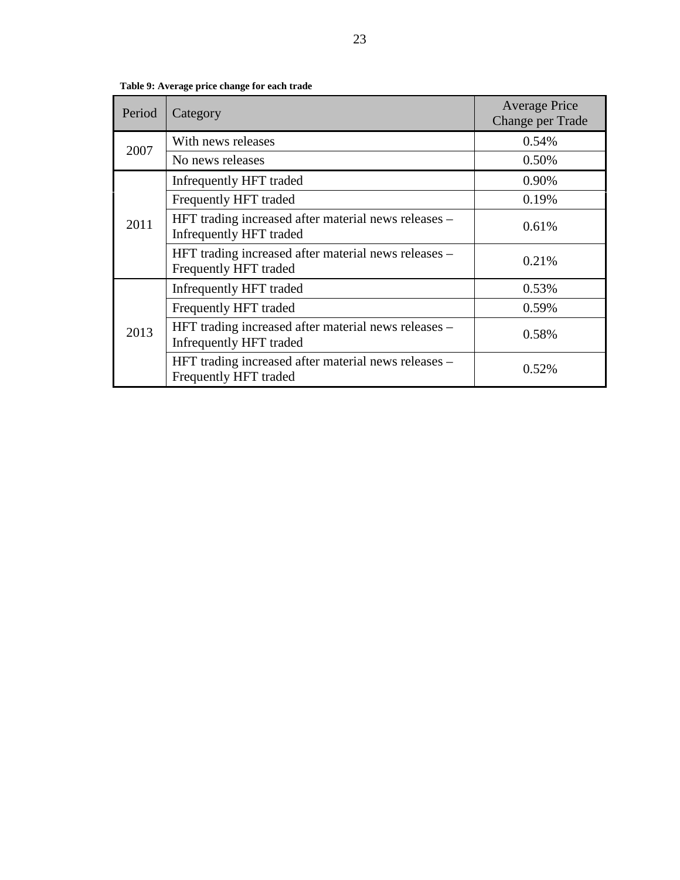<span id="page-22-0"></span>

| Period | Category                                                                        | <b>Average Price</b><br>Change per Trade |
|--------|---------------------------------------------------------------------------------|------------------------------------------|
| 2007   | With news releases                                                              | 0.54%                                    |
|        | No news releases                                                                | 0.50%                                    |
|        | Infrequently HFT traded                                                         | 0.90%                                    |
|        | Frequently HFT traded                                                           | 0.19%                                    |
| 2011   | HFT trading increased after material news releases –<br>Infrequently HFT traded | 0.61%                                    |
|        | HFT trading increased after material news releases –<br>Frequently HFT traded   | 0.21%                                    |
|        | Infrequently HFT traded                                                         | 0.53%                                    |
|        | Frequently HFT traded                                                           | 0.59%                                    |
| 2013   | HFT trading increased after material news releases –<br>Infrequently HFT traded | 0.58%                                    |
|        | HFT trading increased after material news releases –<br>Frequently HFT traded   | 0.52%                                    |

**Table 9: Average price change for each trade**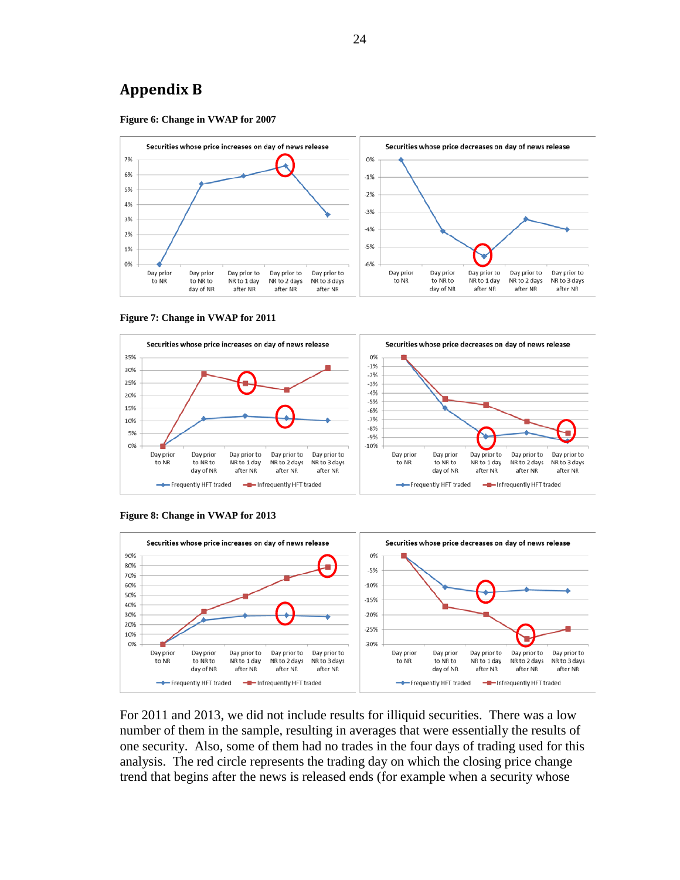## **Appendix B**

<span id="page-23-0"></span>







<span id="page-23-1"></span>**Figure 8: Change in VWAP for 2013**



For 2011 and 2013, we did not include results for illiquid securities. There was a low number of them in the sample, resulting in averages that were essentially the results of one security. Also, some of them had no trades in the four days of trading used for this analysis. The red circle represents the trading day on which the closing price change trend that begins after the news is released ends (for example when a security whose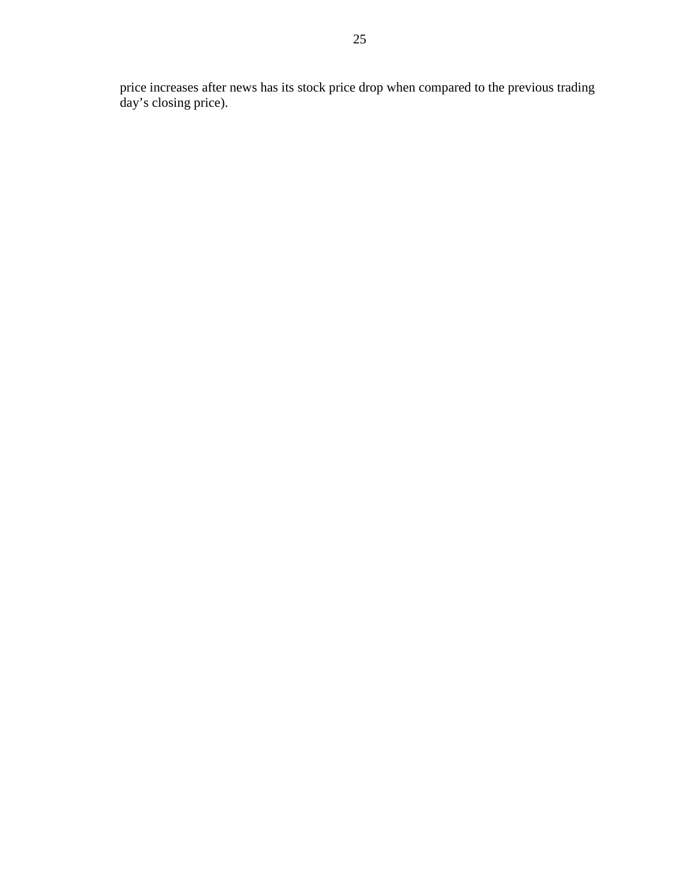price increases after news has its stock price drop when compared to the previous trading day's closing price).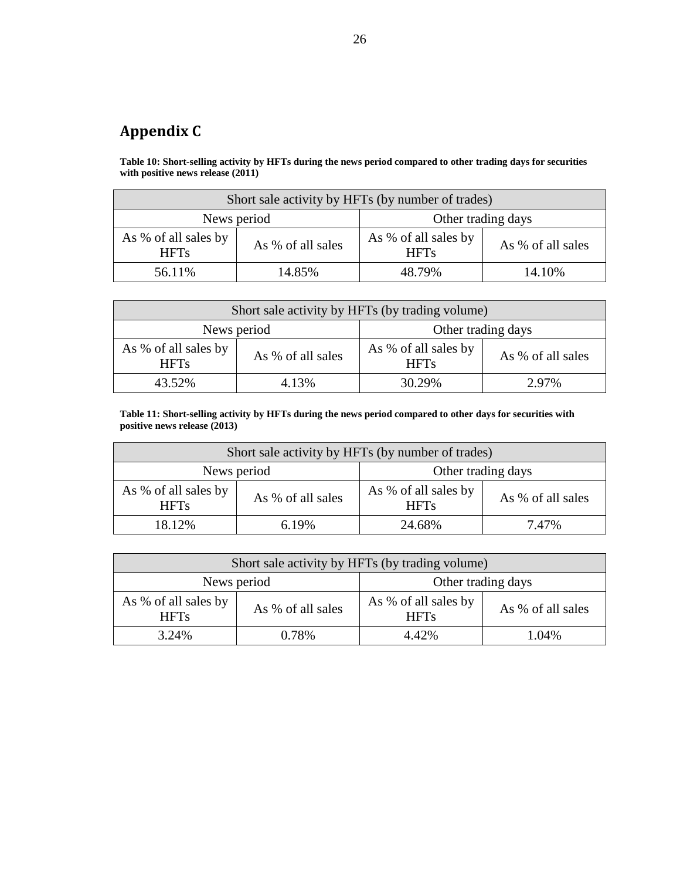# <span id="page-25-0"></span>**Appendix C**

<span id="page-25-1"></span>**Table 10: Short-selling activity by HFTs during the news period compared to other trading days for securities with positive news release (2011)**

| Short sale activity by HFTs (by number of trades) |                   |                                                          |  |  |  |
|---------------------------------------------------|-------------------|----------------------------------------------------------|--|--|--|
| Other trading days<br>News period                 |                   |                                                          |  |  |  |
| As % of all sales by<br><b>HFTs</b>               | As % of all sales | As % of all sales by<br>As % of all sales<br><b>HFTs</b> |  |  |  |
| 14.85%<br>56.11%<br>48.79%<br>14.10%              |                   |                                                          |  |  |  |

| Short sale activity by HFTs (by trading volume) |                   |                                                          |  |  |
|-------------------------------------------------|-------------------|----------------------------------------------------------|--|--|
| Other trading days<br>News period               |                   |                                                          |  |  |
| As % of all sales by<br><b>HFTs</b>             | As % of all sales | As % of all sales by<br>As % of all sales<br><b>HFTs</b> |  |  |
| 30.29%<br>43.52%<br>4.13%<br>2.97%              |                   |                                                          |  |  |

<span id="page-25-2"></span>**Table 11: Short-selling activity by HFTs during the news period compared to other days for securities with positive news release (2013)**

| Short sale activity by HFTs (by number of trades)                                                                    |       |        |       |  |
|----------------------------------------------------------------------------------------------------------------------|-------|--------|-------|--|
| Other trading days<br>News period                                                                                    |       |        |       |  |
| As % of all sales by<br>As % of all sales by<br>As % of all sales<br>As % of all sales<br><b>HFTs</b><br><b>HFTs</b> |       |        |       |  |
| 18.12%                                                                                                               | 6.19% | 24.68% | 7.47% |  |

| Short sale activity by HFTs (by trading volume) |                   |                                     |                   |  |
|-------------------------------------------------|-------------------|-------------------------------------|-------------------|--|
| Other trading days<br>News period               |                   |                                     |                   |  |
| As % of all sales by<br><b>HFTs</b>             | As % of all sales | As % of all sales by<br><b>HFTs</b> | As % of all sales |  |
| 4.42%<br>0.78%<br>3.24%<br>1.04%                |                   |                                     |                   |  |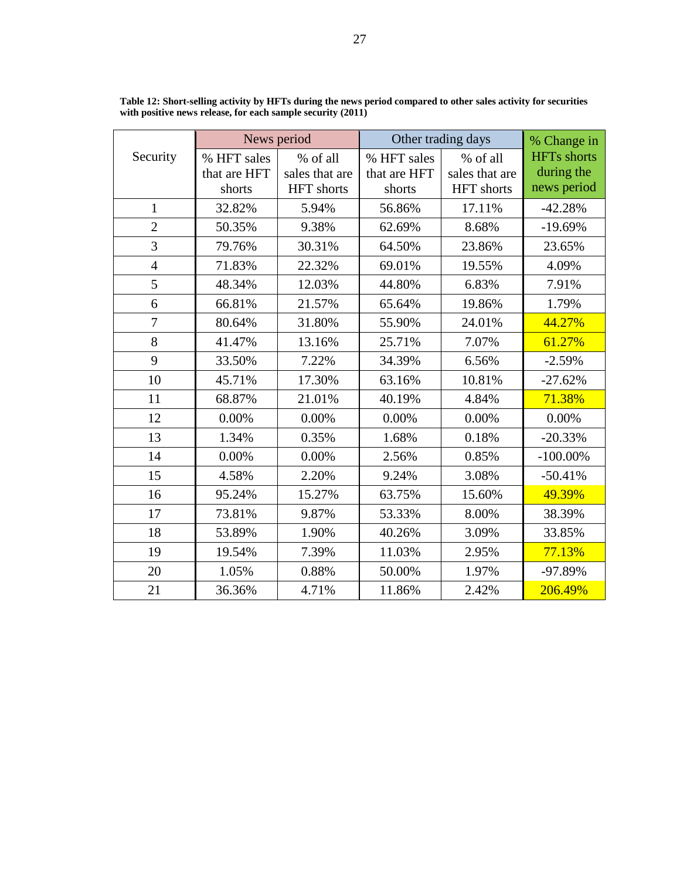|                | News period  |                   |              | Other trading days | % Change in        |
|----------------|--------------|-------------------|--------------|--------------------|--------------------|
| Security       | % HFT sales  | % of all          | % HFT sales  | % of all           | <b>HFTs</b> shorts |
|                | that are HFT | sales that are    | that are HFT | sales that are     | during the         |
|                | shorts       | <b>HFT</b> shorts | shorts       | <b>HFT</b> shorts  | news period        |
| 1              | 32.82%       | 5.94%             | 56.86%       | 17.11%             | $-42.28%$          |
| $\overline{2}$ | 50.35%       | 9.38%             | 62.69%       | 8.68%              | $-19.69%$          |
| 3              | 79.76%       | 30.31%            | 64.50%       | 23.86%             | 23.65%             |
| $\overline{4}$ | 71.83%       | 22.32%            | 69.01%       | 19.55%             | 4.09%              |
| 5              | 48.34%       | 12.03%            | 44.80%       | 6.83%              | 7.91%              |
| 6              | 66.81%       | 21.57%            | 65.64%       | 19.86%             | 1.79%              |
| $\overline{7}$ | 80.64%       | 31.80%            | 55.90%       | 24.01%             | 44.27%             |
| 8              | 41.47%       | 13.16%            | 25.71%       | 7.07%              | 61.27%             |
| 9              | 33.50%       | 7.22%             | 34.39%       | 6.56%              | $-2.59%$           |
| 10             | 45.71%       | 17.30%            | 63.16%       | 10.81%             | $-27.62%$          |
| 11             | 68.87%       | 21.01%            | 40.19%       | 4.84%              | 71.38%             |
| 12             | 0.00%        | 0.00%             | 0.00%        | 0.00%              | 0.00%              |
| 13             | 1.34%        | 0.35%             | 1.68%        | 0.18%              | $-20.33%$          |
| 14             | 0.00%        | 0.00%             | 2.56%        | 0.85%              | $-100.00\%$        |
| 15             | 4.58%        | 2.20%             | 9.24%        | 3.08%              | $-50.41%$          |
| 16             | 95.24%       | 15.27%            | 63.75%       | 15.60%             | 49.39%             |
| 17             | 73.81%       | 9.87%             | 53.33%       | 8.00%              | 38.39%             |
| 18             | 53.89%       | 1.90%             | 40.26%       | 3.09%              | 33.85%             |
| 19             | 19.54%       | 7.39%             | 11.03%       | 2.95%              | 77.13%             |
| 20             | 1.05%        | 0.88%             | 50.00%       | 1.97%              | -97.89%            |
| 21             | 36.36%       | 4.71%             | 11.86%       | 2.42%              | 206.49%            |

<span id="page-26-0"></span>**Table 12: Short-selling activity by HFTs during the news period compared to other sales activity for securities with positive news release, for each sample security (2011)**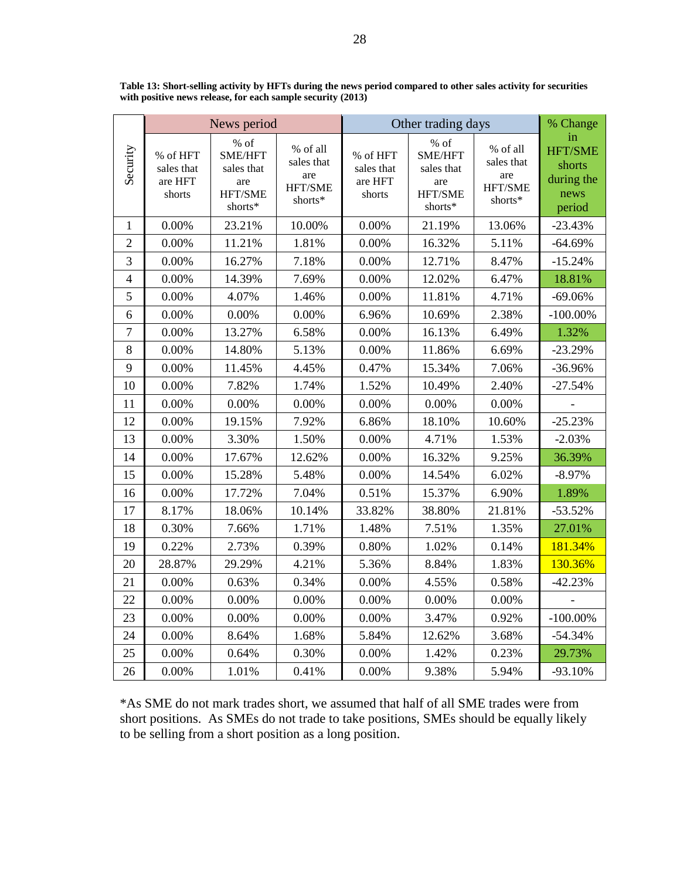|                |                                             | News period                                                |                                                     | Other trading days                          |                                                            | % Change                                            |                                                                |
|----------------|---------------------------------------------|------------------------------------------------------------|-----------------------------------------------------|---------------------------------------------|------------------------------------------------------------|-----------------------------------------------------|----------------------------------------------------------------|
| Security       | % of HFT<br>sales that<br>are HFT<br>shorts | % of<br>SME/HFT<br>sales that<br>are<br>HFT/SME<br>shorts* | % of all<br>sales that<br>are<br>HFT/SME<br>shorts* | % of HFT<br>sales that<br>are HFT<br>shorts | % of<br>SME/HFT<br>sales that<br>are<br>HFT/SME<br>shorts* | % of all<br>sales that<br>are<br>HFT/SME<br>shorts* | in<br><b>HFT/SME</b><br>shorts<br>during the<br>news<br>period |
| $\mathbf{1}$   | 0.00%                                       | 23.21%                                                     | 10.00%                                              | 0.00%                                       | 21.19%                                                     | 13.06%                                              | $-23.43%$                                                      |
| $\overline{2}$ | 0.00%                                       | 11.21%                                                     | 1.81%                                               | 0.00%                                       | 16.32%                                                     | 5.11%                                               | $-64.69%$                                                      |
| 3              | 0.00%                                       | 16.27%                                                     | 7.18%                                               | 0.00%                                       | 12.71%                                                     | 8.47%                                               | $-15.24%$                                                      |
| $\overline{4}$ | 0.00%                                       | 14.39%                                                     | 7.69%                                               | 0.00%                                       | 12.02%                                                     | 6.47%                                               | 18.81%                                                         |
| 5              | 0.00%                                       | 4.07%                                                      | 1.46%                                               | 0.00%                                       | 11.81%                                                     | 4.71%                                               | $-69.06%$                                                      |
| 6              | 0.00%                                       | 0.00%                                                      | 0.00%                                               | 6.96%                                       | 10.69%                                                     | 2.38%                                               | $-100.00\%$                                                    |
| $\overline{7}$ | 0.00%                                       | 13.27%                                                     | 6.58%                                               | 0.00%                                       | 16.13%                                                     | 6.49%                                               | 1.32%                                                          |
| 8              | 0.00%                                       | 14.80%                                                     | 5.13%                                               | 0.00%                                       | 11.86%                                                     | 6.69%                                               | $-23.29%$                                                      |
| 9              | 0.00%                                       | 11.45%                                                     | 4.45%                                               | 0.47%                                       | 15.34%                                                     | 7.06%                                               | -36.96%                                                        |
| 10             | 0.00%                                       | 7.82%                                                      | 1.74%                                               | 1.52%                                       | 10.49%                                                     | 2.40%                                               | $-27.54%$                                                      |
| 11             | 0.00%                                       | 0.00%                                                      | 0.00%                                               | 0.00%                                       | 0.00%                                                      | 0.00%                                               |                                                                |
| 12             | 0.00%                                       | 19.15%                                                     | 7.92%                                               | 6.86%                                       | 18.10%                                                     | 10.60%                                              | $-25.23%$                                                      |
| 13             | 0.00%                                       | 3.30%                                                      | 1.50%                                               | 0.00%                                       | 4.71%                                                      | 1.53%                                               | $-2.03%$                                                       |
| 14             | 0.00%                                       | 17.67%                                                     | 12.62%                                              | 0.00%                                       | 16.32%                                                     | 9.25%                                               | 36.39%                                                         |
| 15             | 0.00%                                       | 15.28%                                                     | 5.48%                                               | 0.00%                                       | 14.54%                                                     | 6.02%                                               | $-8.97%$                                                       |
| 16             | 0.00%                                       | 17.72%                                                     | 7.04%                                               | 0.51%                                       | 15.37%                                                     | 6.90%                                               | 1.89%                                                          |
| 17             | 8.17%                                       | 18.06%                                                     | 10.14%                                              | 33.82%                                      | 38.80%                                                     | 21.81%                                              | $-53.52%$                                                      |
| 18             | 0.30%                                       | 7.66%                                                      | 1.71%                                               | 1.48%                                       | 7.51%                                                      | 1.35%                                               | 27.01%                                                         |
| 19             | 0.22%                                       | 2.73%                                                      | 0.39%                                               | 0.80%                                       | 1.02%                                                      | 0.14%                                               | 181.34%                                                        |
| 20             | 28.87%                                      | 29.29%                                                     | 4.21%                                               | 5.36%                                       | 8.84%                                                      | 1.83%                                               | 130.36%                                                        |
| 21             | 0.00%                                       | 0.63%                                                      | 0.34%                                               | 0.00%                                       | 4.55%                                                      | 0.58%                                               | $-42.23%$                                                      |
| 22             | 0.00%                                       | 0.00%                                                      | 0.00%                                               | 0.00%                                       | 0.00%                                                      | 0.00%                                               |                                                                |
| 23             | 0.00%                                       | 0.00%                                                      | 0.00%                                               | 0.00%                                       | 3.47%                                                      | 0.92%                                               | $-100.00\%$                                                    |
| 24             | 0.00%                                       | 8.64%                                                      | 1.68%                                               | 5.84%                                       | 12.62%                                                     | 3.68%                                               | $-54.34%$                                                      |
| 25             | 0.00%                                       | 0.64%                                                      | 0.30%                                               | 0.00%                                       | 1.42%                                                      | 0.23%                                               | 29.73%                                                         |
| 26             | 0.00%                                       | 1.01%                                                      | 0.41%                                               | 0.00%                                       | 9.38%                                                      | 5.94%                                               | -93.10%                                                        |

<span id="page-27-0"></span>**Table 13: Short-selling activity by HFTs during the news period compared to other sales activity for securities with positive news release, for each sample security (2013)**

\*As SME do not mark trades short, we assumed that half of all SME trades were from short positions. As SMEs do not trade to take positions, SMEs should be equally likely to be selling from a short position as a long position.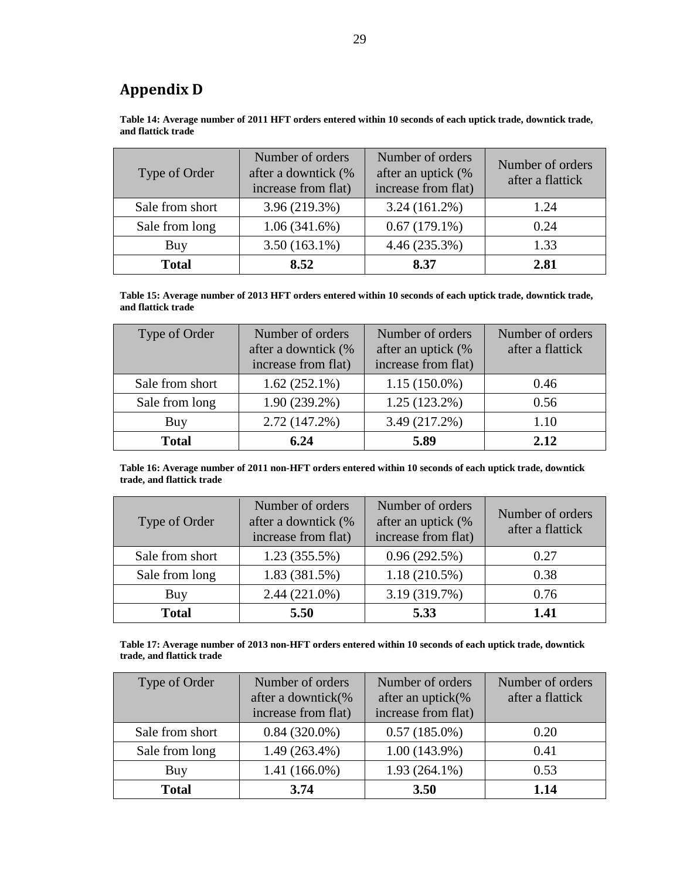# <span id="page-28-0"></span>**Appendix D**

<span id="page-28-1"></span>**Table 14: Average number of 2011 HFT orders entered within 10 seconds of each uptick trade, downtick trade, and flattick trade**

| Type of Order                    | Number of orders<br>after a downtick (%<br>increase from flat) | Number of orders<br>after an uptick (%<br>increase from flat) | Number of orders<br>after a flattick |
|----------------------------------|----------------------------------------------------------------|---------------------------------------------------------------|--------------------------------------|
| 3.96 (219.3%)<br>Sale from short |                                                                | $3.24(161.2\%)$                                               | 1.24                                 |
| 1.06(341.6%)<br>Sale from long   |                                                                | $0.67(179.1\%)$                                               | 0.24                                 |
| Buy                              | $3.50(163.1\%)$                                                | 4.46 (235.3%)                                                 | 1.33                                 |
| <b>Total</b>                     | 8.52                                                           | 8.37                                                          | 2.81                                 |

<span id="page-28-2"></span>**Table 15: Average number of 2013 HFT orders entered within 10 seconds of each uptick trade, downtick trade, and flattick trade**

| Type of Order   | Number of orders<br>after a downtick (%<br>increase from flat) | Number of orders<br>after an uptick (%<br>increase from flat) | Number of orders<br>after a flattick |
|-----------------|----------------------------------------------------------------|---------------------------------------------------------------|--------------------------------------|
| Sale from short | $1.62(252.1\%)$                                                | $1.15(150.0\%)$                                               | 0.46                                 |
| Sale from long  | $1.90(239.2\%)$                                                | $1.25(123.2\%)$                                               | 0.56                                 |
| Buy             | $2.72(147.2\%)$                                                | 3.49 (217.2%)                                                 | 1.10                                 |
| <b>Total</b>    | 6.24                                                           | 5.89                                                          | 2.12                                 |

<span id="page-28-3"></span>**Table 16: Average number of 2011 non-HFT orders entered within 10 seconds of each uptick trade, downtick trade, and flattick trade**

| Type of Order   | Number of orders<br>after a downtick (%<br>increase from flat) | Number of orders<br>after an uptick (%<br>increase from flat) | Number of orders<br>after a flattick |
|-----------------|----------------------------------------------------------------|---------------------------------------------------------------|--------------------------------------|
| Sale from short | $1.23(355.5\%)$                                                | 0.96(292.5%)                                                  | 0.27                                 |
| Sale from long  | 1.83(381.5%)                                                   | $1.18(210.5\%)$                                               | 0.38                                 |
| Buy             | $2.44(221.0\%)$                                                | 3.19 (319.7%)                                                 | 0.76                                 |
| <b>Total</b>    | 5.50                                                           | 5.33                                                          | 1.41                                 |

<span id="page-28-4"></span>

| Table 17: Average number of 2013 non-HFT orders entered within 10 seconds of each uptick trade, downtick |
|----------------------------------------------------------------------------------------------------------|
| trade, and flattick trade                                                                                |

| Type of Order                     | Number of orders<br>after a downtick(%<br>increase from flat) | Number of orders<br>after an uptick $(\%$<br>increase from flat) | Number of orders<br>after a flattick |
|-----------------------------------|---------------------------------------------------------------|------------------------------------------------------------------|--------------------------------------|
| Sale from short                   | $0.84(320.0\%)$                                               | $0.57(185.0\%)$                                                  | 0.20                                 |
| $1.49(263.4\%)$<br>Sale from long |                                                               | $1.00(143.9\%)$                                                  | 0.41                                 |
| Buy                               | $1.41(166.0\%)$                                               | $1.93(264.1\%)$                                                  | 0.53                                 |
| <b>Total</b>                      | 3.74                                                          | <b>3.50</b>                                                      | 1.14                                 |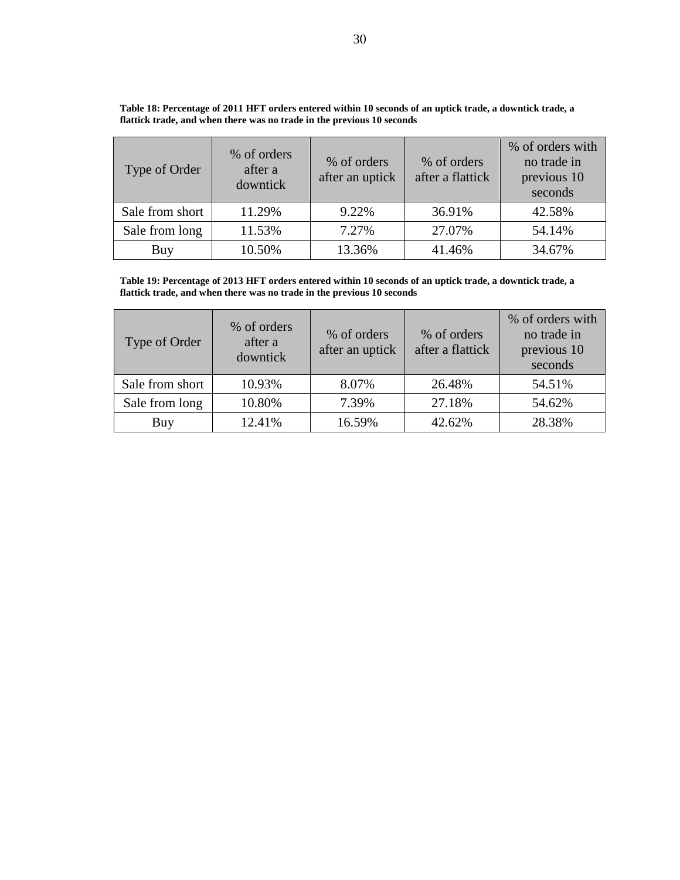| Type of Order   | % of orders<br>after a<br>downtick | % of orders<br>after an uptick | % of orders<br>after a flattick | % of orders with<br>no trade in<br>previous 10<br>seconds |
|-----------------|------------------------------------|--------------------------------|---------------------------------|-----------------------------------------------------------|
| Sale from short | 11.29%                             | 9.22%                          | 36.91%                          | 42.58%                                                    |
| Sale from long  | 11.53%                             | 7.27%                          | 27.07%                          | 54.14%                                                    |
| Buy             | 10.50%                             | 13.36%                         | 41.46%                          | 34.67%                                                    |

<span id="page-29-0"></span>**Table 18: Percentage of 2011 HFT orders entered within 10 seconds of an uptick trade, a downtick trade, a flattick trade, and when there was no trade in the previous 10 seconds**

<span id="page-29-1"></span>**Table 19: Percentage of 2013 HFT orders entered within 10 seconds of an uptick trade, a downtick trade, a flattick trade, and when there was no trade in the previous 10 seconds**

| Type of Order   | % of orders<br>after a<br>downtick | % of orders<br>after an uptick | % of orders<br>after a flattick | % of orders with<br>no trade in<br>previous 10<br>seconds |
|-----------------|------------------------------------|--------------------------------|---------------------------------|-----------------------------------------------------------|
| Sale from short | 10.93%                             | 8.07%                          | 26.48%                          | 54.51%                                                    |
| Sale from long  | 10.80%                             | 7.39%                          | 27.18%                          | 54.62%                                                    |
| Buy             | 12.41%                             | 16.59%                         | 42.62%                          | 28.38%                                                    |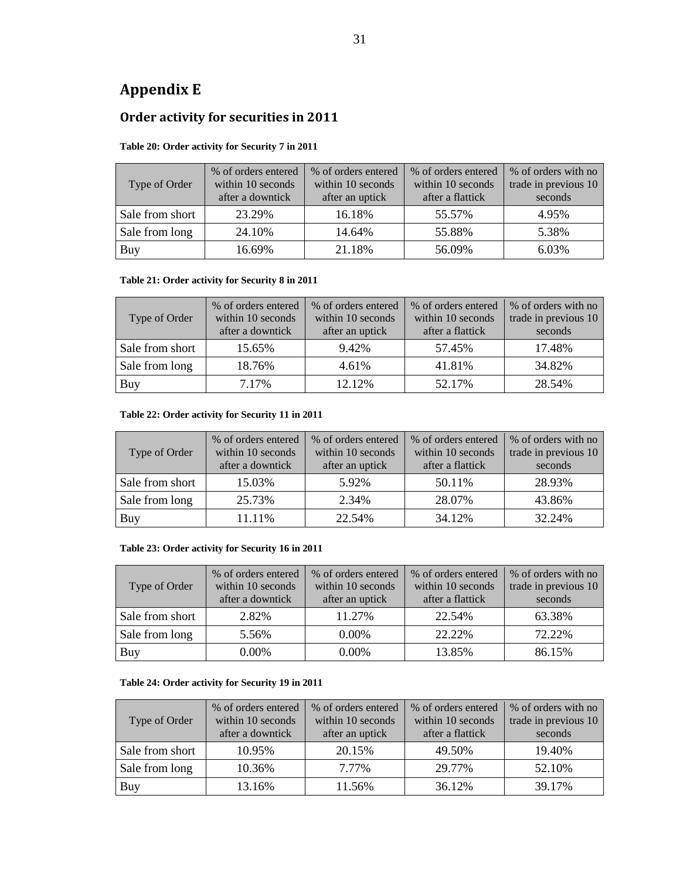# <span id="page-30-0"></span>**Appendix E**

## **Order activity for securities in 2011**

### **Table 20: Order activity for Security 7 in 2011**

| Type of Order   | % of orders entered<br>within 10 seconds<br>after a downtick | % of orders entered<br>within 10 seconds<br>after an uptick | % of orders entered<br>within 10 seconds<br>after a flattick | % of orders with no<br>trade in previous 10<br>seconds |
|-----------------|--------------------------------------------------------------|-------------------------------------------------------------|--------------------------------------------------------------|--------------------------------------------------------|
| Sale from short | 23.29%                                                       | 16.18%                                                      | 55.57%                                                       | 4.95%                                                  |
| Sale from long  | 24.10%                                                       | 14.64%                                                      | 55.88%                                                       | 5.38%                                                  |
| Buy             | 16.69%                                                       | 21.18%                                                      | 56.09%                                                       | 6.03%                                                  |

### **Table 21: Order activity for Security 8 in 2011**

| Type of Order   | % of orders entered<br>within 10 seconds | % of orders entered<br>within 10 seconds | % of orders entered<br>within 10 seconds | % of orders with no<br>trade in previous 10 |
|-----------------|------------------------------------------|------------------------------------------|------------------------------------------|---------------------------------------------|
|                 | after a downtick                         | after an uptick                          | after a flattick                         | seconds                                     |
| Sale from short | 15.65%                                   | 9.42%                                    | 57.45%                                   | 17.48%                                      |
| Sale from long  | 18.76%                                   | 4.61%                                    | 41.81%                                   | 34.82%                                      |
| Buy             | 7.17%                                    | 12.12%                                   | 52.17%                                   | 28.54%                                      |

### **Table 22: Order activity for Security 11 in 2011**

| Type of Order   | % of orders entered<br>within 10 seconds<br>after a downtick | % of orders entered<br>within 10 seconds<br>after an uptick | % of orders entered<br>within 10 seconds<br>after a flattick | % of orders with no<br>trade in previous 10<br>seconds |
|-----------------|--------------------------------------------------------------|-------------------------------------------------------------|--------------------------------------------------------------|--------------------------------------------------------|
| Sale from short | 15.03%                                                       | 5.92%                                                       | 50.11%                                                       | 28.93%                                                 |
| Sale from long  | 25.73%                                                       | 2.34%                                                       | 28.07%                                                       | 43.86%                                                 |
| Buy             | 11.11%                                                       | 22.54%                                                      | 34.12%                                                       | 32.24%                                                 |

### **Table 23: Order activity for Security 16 in 2011**

| Type of Order   | % of orders entered<br>within 10 seconds<br>after a downtick | % of orders entered<br>within 10 seconds<br>after an uptick | % of orders entered<br>within 10 seconds<br>after a flattick | % of orders with no<br>trade in previous 10<br>seconds |
|-----------------|--------------------------------------------------------------|-------------------------------------------------------------|--------------------------------------------------------------|--------------------------------------------------------|
| Sale from short | 2.82%                                                        | 11.27%                                                      | 22.54%                                                       | 63.38%                                                 |
| Sale from long  | 5.56%                                                        | $0.00\%$                                                    | 22.22%                                                       | 72.22%                                                 |
| Buy             | $0.00\%$                                                     | $0.00\%$                                                    | 13.85%                                                       | 86.15%                                                 |

### **Table 24: Order activity for Security 19 in 2011**

| Type of Order   | % of orders entered<br>within 10 seconds<br>after a downtick | % of orders entered<br>within 10 seconds<br>after an uptick | % of orders entered<br>within 10 seconds<br>after a flattick | % of orders with no<br>trade in previous 10<br>seconds |
|-----------------|--------------------------------------------------------------|-------------------------------------------------------------|--------------------------------------------------------------|--------------------------------------------------------|
| Sale from short | 10.95%                                                       | 20.15%                                                      | 49.50%                                                       | 19.40%                                                 |
| Sale from long  | 10.36%                                                       | 7.77%                                                       | 29.77%                                                       | 52.10%                                                 |
| Buy             | 13.16%                                                       | 11.56%                                                      | 36.12%                                                       | 39.17%                                                 |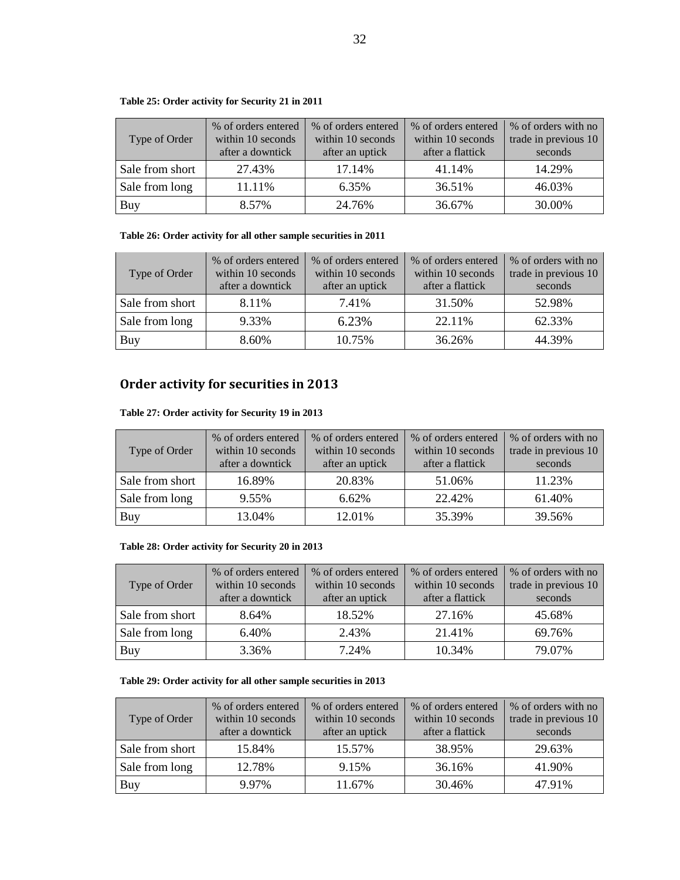### **Table 25: Order activity for Security 21 in 2011**

| Type of Order   | % of orders entered<br>within 10 seconds<br>after a downtick | % of orders entered<br>within 10 seconds<br>after an uptick | % of orders entered<br>within 10 seconds<br>after a flattick | % of orders with no<br>trade in previous 10<br>seconds |
|-----------------|--------------------------------------------------------------|-------------------------------------------------------------|--------------------------------------------------------------|--------------------------------------------------------|
| Sale from short | 27.43%                                                       | 17.14%                                                      | 41.14%                                                       | 14.29%                                                 |
| Sale from long  | 11.11%                                                       | 6.35%                                                       | 36.51%                                                       | 46.03%                                                 |
| Buy             | 8.57%                                                        | 24.76%                                                      | 36.67%                                                       | 30.00%                                                 |

### <span id="page-31-0"></span>**Table 26: Order activity for all other sample securities in 2011**

| Type of Order   | % of orders entered<br>within 10 seconds<br>after a downtick | % of orders entered<br>within 10 seconds<br>after an uptick | % of orders entered<br>within 10 seconds<br>after a flattick | % of orders with no<br>trade in previous 10<br>seconds |
|-----------------|--------------------------------------------------------------|-------------------------------------------------------------|--------------------------------------------------------------|--------------------------------------------------------|
| Sale from short | 8.11%                                                        | 7.41%                                                       | 31.50%                                                       | 52.98%                                                 |
| Sale from long  | 9.33%                                                        | 6.23%                                                       | 22.11%                                                       | 62.33%                                                 |
| Buy             | 8.60%                                                        | 10.75%                                                      | 36.26%                                                       | 44.39%                                                 |

## **Order activity for securities in 2013**

### **Table 27: Order activity for Security 19 in 2013**

| Type of Order   | % of orders entered<br>within 10 seconds<br>after a downtick | % of orders entered<br>within 10 seconds<br>after an uptick | % of orders entered<br>within 10 seconds<br>after a flattick | % of orders with no<br>trade in previous 10<br>seconds |
|-----------------|--------------------------------------------------------------|-------------------------------------------------------------|--------------------------------------------------------------|--------------------------------------------------------|
| Sale from short | 16.89%                                                       | 20.83%                                                      | 51.06%                                                       | 11.23%                                                 |
| Sale from long  | 9.55%                                                        | 6.62%                                                       | 22.42%                                                       | 61.40%                                                 |
| Buy             | 13.04%                                                       | 12.01%                                                      | 35.39%                                                       | 39.56%                                                 |

### **Table 28: Order activity for Security 20 in 2013**

| Type of Order   | % of orders entered<br>within 10 seconds<br>after a downtick | % of orders entered<br>within 10 seconds<br>after an uptick | % of orders entered<br>within 10 seconds<br>after a flattick | % of orders with no<br>trade in previous 10<br>seconds |
|-----------------|--------------------------------------------------------------|-------------------------------------------------------------|--------------------------------------------------------------|--------------------------------------------------------|
| Sale from short | 8.64%                                                        | 18.52%                                                      | 27.16%                                                       | 45.68%                                                 |
| Sale from long  | 6.40%                                                        | 2.43%                                                       | 21.41%                                                       | 69.76%                                                 |
| Buy             | 3.36%                                                        | 7.24%                                                       | 10.34%                                                       | 79.07%                                                 |

### <span id="page-31-1"></span>**Table 29: Order activity for all other sample securities in 2013**

| Type of Order   | % of orders entered<br>within 10 seconds<br>after a downtick | % of orders entered<br>within 10 seconds<br>after an uptick | % of orders entered<br>within 10 seconds<br>after a flattick | % of orders with no<br>trade in previous 10<br>seconds |
|-----------------|--------------------------------------------------------------|-------------------------------------------------------------|--------------------------------------------------------------|--------------------------------------------------------|
| Sale from short | 15.84%                                                       | 15.57%                                                      | 38.95%                                                       | 29.63%                                                 |
| Sale from long  | 12.78%                                                       | 9.15%                                                       | 36.16%                                                       | 41.90%                                                 |
| Buy             | 9.97%                                                        | 11.67%                                                      | 30.46%                                                       | 47.91%                                                 |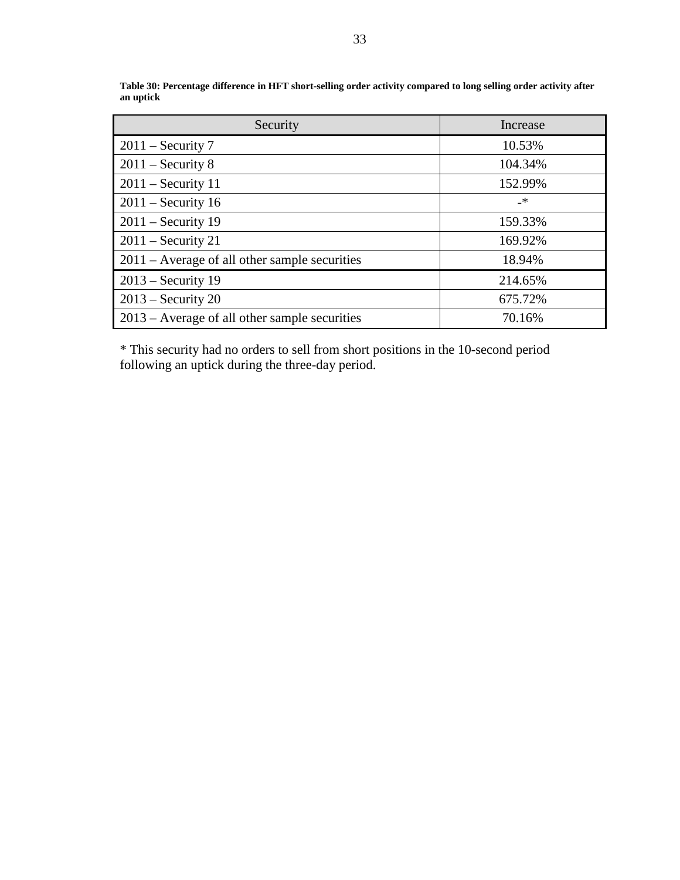| Security                                        | Increase |
|-------------------------------------------------|----------|
| $2011$ – Security 7                             | 10.53%   |
| $2011$ – Security 8                             | 104.34%  |
| $2011$ – Security 11                            | 152.99%  |
| $2011$ – Security 16                            | _*       |
| $2011$ – Security 19                            | 159.33%  |
| $2011$ – Security 21                            | 169.92%  |
| $2011$ – Average of all other sample securities | 18.94%   |
| $2013$ – Security 19                            | 214.65%  |
| $2013$ – Security 20                            | 675.72%  |
| $2013$ – Average of all other sample securities | 70.16%   |

<span id="page-32-0"></span>**Table 30: Percentage difference in HFT short-selling order activity compared to long selling order activity after an uptick**

\* This security had no orders to sell from short positions in the 10-second period following an uptick during the three-day period.